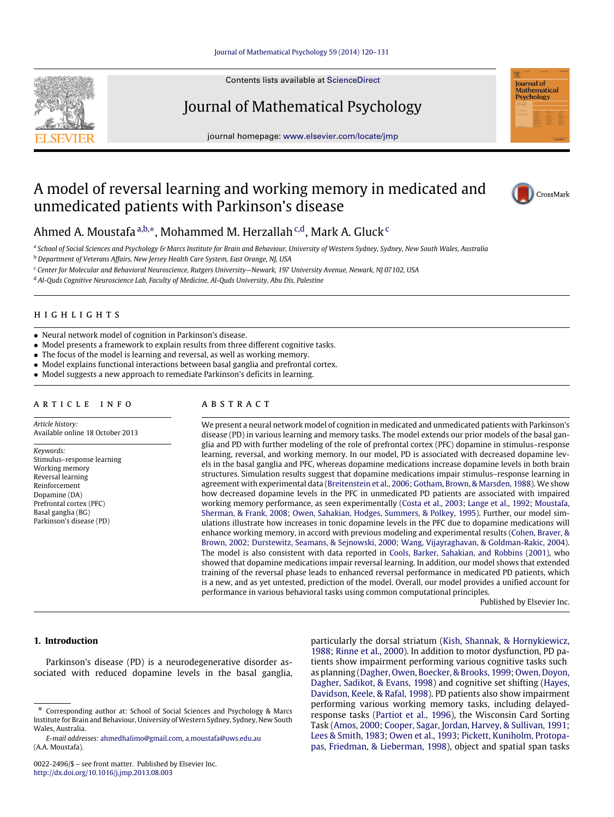# [Journal of Mathematical Psychology 59 \(2014\) 120–131](http://dx.doi.org/10.1016/j.jmp.2013.08.003)

Contents lists available at [ScienceDirect](http://www.elsevier.com/locate/jmp)



Journal of Mathematical Psychology

journal homepage: [www.elsevier.com/locate/jmp](http://www.elsevier.com/locate/jmp)

# A model of reversal learning and working memory in medicated and unmedicated patients with Parkinson's disease



**Iournal of** 



Ahmed A. Moustafa <sup>[a,](#page-0-0)[b,](#page-0-1)</sup>\*, Mohammed M. Herzallah <sup>[c](#page-0-3)[,d](#page-0-4)</sup>, Mark A. Gluck <sup>c</sup>

<span id="page-0-0"></span><sup>a</sup> School of Social Sciences and Psychology & Marcs Institute for Brain and Behaviour, University of Western Sydney, Sydney, New South Wales, Australia

<span id="page-0-1"></span><sup>b</sup> *Department of Veterans Affairs, New Jersey Health Care System, East Orange, NJ, USA*

<span id="page-0-3"></span><sup>c</sup> *Center for Molecular and Behavioral Neuroscience, Rutgers University—Newark, 197 University Avenue, Newark, NJ 07102, USA*

<span id="page-0-4"></span><sup>d</sup> *Al-Quds Cognitive Neuroscience Lab, Faculty of Medicine, Al-Quds University, Abu Dis, Palestine*

# h i g h l i g h t s

- Neural network model of cognition in Parkinson's disease.
- Model presents a framework to explain results from three different cognitive tasks.
- The focus of the model is learning and reversal, as well as working memory.
- Model explains functional interactions between basal ganglia and prefrontal cortex.
- Model suggests a new approach to remediate Parkinson's deficits in learning.

# a r t i c l e i n f o

a b s t r a c t

*Article history:* Available online 18 October 2013

*Keywords:* Stimulus–response learning Working memory Reversal learning Reinforcement Dopamine (DA) Prefrontal cortex (PFC) Basal ganglia (BG) Parkinson's disease (PD)

We present a neural network model of cognition in medicated and unmedicated patients with Parkinson's disease (PD) in various learning and memory tasks. The model extends our prior models of the basal ganglia and PD with further modeling of the role of prefrontal cortex (PFC) dopamine in stimulus–response learning, reversal, and working memory. In our model, PD is associated with decreased dopamine levels in the basal ganglia and PFC, whereas dopamine medications increase dopamine levels in both brain structures. Simulation results suggest that dopamine medications impair stimulus–response learning in agreement with experimental data [\(Breitenstein](#page-9-0) [et al.,](#page-9-0) [2006;](#page-9-0) [Gotham,](#page-9-1) [Brown,](#page-9-1) [&](#page-9-1) [Marsden,](#page-9-1) [1988\)](#page-9-1). We show how decreased dopamine levels in the PFC in unmedicated PD patients are associated with impaired working memory performance, as seen experimentally [\(Costa](#page-9-2) [et al.,](#page-9-2) [2003;](#page-9-2) [Lange](#page-10-0) [et al.,](#page-10-0) [1992;](#page-10-0) [Moustafa,](#page-10-1) [Sherman,](#page-10-1) [&](#page-10-1) [Frank,](#page-10-1) [2008;](#page-10-1) [Owen,](#page-10-2) [Sahakian,](#page-10-2) [Hodges,](#page-10-2) [Summers,](#page-10-2) [&](#page-10-2) [Polkey,](#page-10-2) [1995\)](#page-10-2). Further, our model simulations illustrate how increases in tonic dopamine levels in the PFC due to dopamine medications will enhance working memory, in accord with previous modeling and experimental results [\(Cohen,](#page-9-3) [Braver,](#page-9-3) [&](#page-9-3) [Brown,](#page-9-3) [2002;](#page-9-3) [Durstewitz,](#page-9-4) [Seamans,](#page-9-4) [&](#page-9-4) [Sejnowski,](#page-9-4) [2000;](#page-9-4) [Wang,](#page-11-0) [Vijayraghavan,](#page-11-0) [&](#page-11-0) [Goldman-Rakic,](#page-11-0) [2004\)](#page-11-0). The model is also consistent with data reported in [Cools,](#page-9-5) [Barker,](#page-9-5) [Sahakian,](#page-9-5) [and](#page-9-5) [Robbins](#page-9-5) [\(2001\)](#page-9-5), who showed that dopamine medications impair reversal learning. In addition, our model shows that extended training of the reversal phase leads to enhanced reversal performance in medicated PD patients, which is a new, and as yet untested, prediction of the model. Overall, our model provides a unified account for performance in various behavioral tasks using common computational principles.

Published by Elsevier Inc.

# **1. Introduction**

Parkinson's disease (PD) is a neurodegenerative disorder associated with reduced dopamine levels in the basal ganglia, particularly the dorsal striatum [\(Kish,](#page-10-3) [Shannak,](#page-10-3) [&](#page-10-3) [Hornykiewicz,](#page-10-3) [1988;](#page-10-3) [Rinne](#page-10-4) [et al.,](#page-10-4) [2000\)](#page-10-4). In addition to motor dysfunction, PD patients show impairment performing various cognitive tasks such as planning [\(Dagher,](#page-9-6) [Owen,](#page-9-6) [Boecker,&Brooks,](#page-9-6) [1999;](#page-9-6) [Owen,](#page-10-5) [Doyon,](#page-10-5) [Dagher,](#page-10-5) [Sadikot,](#page-10-5) [&](#page-10-5) [Evans,](#page-10-5) [1998\)](#page-10-5) and cognitive set shifting [\(Hayes,](#page-10-6) [Davidson,](#page-10-6) [Keele,](#page-10-6) [&](#page-10-6) [Rafal,](#page-10-6) [1998\)](#page-10-6). PD patients also show impairment performing various working memory tasks, including delayedresponse tasks [\(Partiot](#page-10-7) [et al.,](#page-10-7) [1996\)](#page-10-7), the Wisconsin Card Sorting Task [\(Amos,](#page-9-7) [2000;](#page-9-7) [Cooper,](#page-9-8) [Sagar,](#page-9-8) [Jordan,](#page-9-8) [Harvey,](#page-9-8) [&](#page-9-8) [Sullivan,](#page-9-8) [1991;](#page-9-8) [Lees](#page-10-8) [&](#page-10-8) [Smith,](#page-10-8) [1983;](#page-10-8) [Owen](#page-10-9) [et al.,](#page-10-9) [1993;](#page-10-9) [Pickett,](#page-10-10) [Kuniholm,](#page-10-10) [Protopa](#page-10-10)[pas,](#page-10-10) [Friedman,](#page-10-10) [&](#page-10-10) [Lieberman,](#page-10-10) [1998\)](#page-10-10), object and spatial span tasks

<span id="page-0-2"></span><sup>∗</sup> Corresponding author at: School of Social Sciences and Psychology & Marcs Institute for Brain and Behaviour, University of Western Sydney, Sydney, New South Wales, Australia.

*E-mail addresses:* [ahmedhalimo@gmail.com,](mailto:ahmedhalimo@gmail.com) [a.moustafa@uws.edu.au](mailto:a.moustafa@uws.edu.au) (A.A. Moustafa).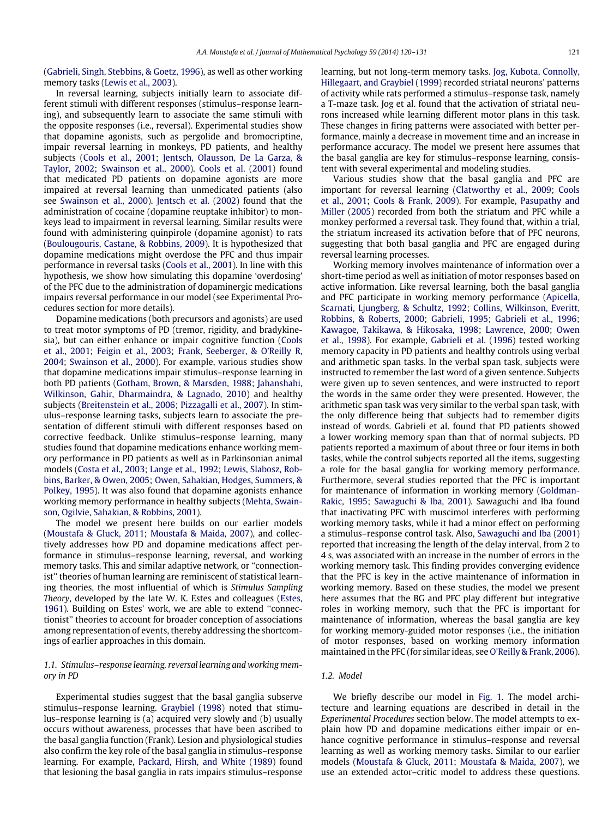[\(Gabrieli,](#page-9-9) [Singh,](#page-9-9) [Stebbins,](#page-9-9) [&](#page-9-9) [Goetz,](#page-9-9) [1996\)](#page-9-9), as well as other working memory tasks [\(Lewis](#page-10-11) [et al.,](#page-10-11) [2003\)](#page-10-11).

In reversal learning, subjects initially learn to associate different stimuli with different responses (stimulus–response learning), and subsequently learn to associate the same stimuli with the opposite responses (i.e., reversal). Experimental studies show that dopamine agonists, such as pergolide and bromocriptine, impair reversal learning in monkeys, PD patients, and healthy subjects [\(Cools](#page-9-5) [et al.,](#page-9-5) [2001;](#page-9-5) [Jentsch,](#page-10-12) [Olausson,](#page-10-12) [De](#page-10-12) [La](#page-10-12) [Garza,](#page-10-12) [&](#page-10-12) [Taylor,](#page-10-12) [2002;](#page-10-12) [Swainson](#page-11-1) [et al.,](#page-11-1) [2000\)](#page-11-1). [Cools](#page-9-5) [et al.](#page-9-5) [\(2001\)](#page-9-5) found that medicated PD patients on dopamine agonists are more impaired at reversal learning than unmedicated patients (also see [Swainson](#page-11-1) [et al.,](#page-11-1) [2000\)](#page-11-1). [Jentsch](#page-10-12) [et al.](#page-10-12) [\(2002\)](#page-10-12) found that the administration of cocaine (dopamine reuptake inhibitor) to monkeys lead to impairment in reversal learning. Similar results were found with administering quinpirole (dopamine agonist) to rats [\(Boulougouris,](#page-9-10) [Castane,](#page-9-10) [&](#page-9-10) [Robbins,](#page-9-10) [2009\)](#page-9-10). It is hypothesized that dopamine medications might overdose the PFC and thus impair performance in reversal tasks [\(Cools](#page-9-5) [et al.,](#page-9-5) [2001\)](#page-9-5). In line with this hypothesis, we show how simulating this dopamine 'overdosing' of the PFC due to the administration of dopaminergic medications impairs reversal performance in our model (see Experimental Procedures section for more details).

Dopamine medications (both precursors and agonists) are used to treat motor symptoms of PD (tremor, rigidity, and bradykinesia), but can either enhance or impair cognitive function [\(Cools](#page-9-5) [et al.,](#page-9-5) [2001;](#page-9-5) [Feigin](#page-9-11) [et al.,](#page-9-11) [2003;](#page-9-11) [Frank,](#page-9-12) [Seeberger,](#page-9-12) [&](#page-9-12) [O'Reilly](#page-9-12) [R,](#page-9-12) [2004;](#page-9-12) [Swainson](#page-11-1) [et al.,](#page-11-1) [2000\)](#page-11-1). For example, various studies show that dopamine medications impair stimulus–response learning in both PD patients [\(Gotham,](#page-9-13) [Brown,](#page-9-13) [&](#page-9-13) [Marsden,](#page-9-13) [1988;](#page-9-13) [Jahanshahi,](#page-10-13) [Wilkinson,](#page-10-13) [Gahir,](#page-10-13) [Dharmaindra,](#page-10-13) [&](#page-10-13) [Lagnado,](#page-10-13) [2010\)](#page-10-13) and healthy subjects [\(Breitenstein](#page-9-0) [et al.,](#page-9-0) [2006;](#page-9-0) [Pizzagalli](#page-10-14) [et al.,](#page-10-14) [2007\)](#page-10-14). In stimulus–response learning tasks, subjects learn to associate the presentation of different stimuli with different responses based on corrective feedback. Unlike stimulus–response learning, many studies found that dopamine medications enhance working memory performance in PD patients as well as in Parkinsonian animal [m](#page-10-15)odels [\(Costa](#page-9-2) [et al.,](#page-9-2) [2003;](#page-9-2) [Lange](#page-10-0) [et al.,](#page-10-0) [1992;](#page-10-0) [Lewis,](#page-10-15) [Slabosz,](#page-10-15) [Rob](#page-10-15)[bins,](#page-10-15) [Barker,](#page-10-15) [&](#page-10-15) [Owen,](#page-10-15) [2005;](#page-10-15) [Owen,](#page-10-16) [Sahakian,](#page-10-16) [Hodges,](#page-10-16) [Summers,](#page-10-16) [&](#page-10-16) [Polkey,](#page-10-16) [1995\)](#page-10-16). It was also found that dopamine agonists enhance [w](#page-10-17)orking memory performance in healthy subjects [\(Mehta,](#page-10-17) [Swain](#page-10-17)[son,](#page-10-17) [Ogilvie,](#page-10-17) [Sahakian,](#page-10-17) [&](#page-10-17) [Robbins,](#page-10-17) [2001\)](#page-10-17).

The model we present here builds on our earlier models [\(Moustafa](#page-10-18) [&](#page-10-18) [Gluck,](#page-10-18) [2011;](#page-10-18) [Moustafa](#page-10-19) [&](#page-10-19) [Maida,](#page-10-19) [2007\)](#page-10-19), and collectively addresses how PD and dopamine medications affect performance in stimulus–response learning, reversal, and working memory tasks. This and similar adaptive network, or ''connectionist'' theories of human learning are reminiscent of statistical learning theories, the most influential of which is *Stimulus Sampling Theory*, developed by the late W. K. Estes and colleagues [\(Estes,](#page-9-14) [1961\)](#page-9-14). Building on Estes' work, we are able to extend ''connectionist'' theories to account for broader conception of associations among representation of events, thereby addressing the shortcomings of earlier approaches in this domain.

# *1.1. Stimulus–response learning, reversal learning and working memory in PD*

Experimental studies suggest that the basal ganglia subserve stimulus–response learning. [Graybiel](#page-9-15) [\(1998\)](#page-9-15) noted that stimulus–response learning is (a) acquired very slowly and (b) usually occurs without awareness, processes that have been ascribed to the basal ganglia function (Frank). Lesion and physiological studies also confirm the key role of the basal ganglia in stimulus–response learning. For example, [Packard,](#page-10-20) [Hirsh,](#page-10-20) [and](#page-10-20) [White](#page-10-20) [\(1989\)](#page-10-20) found that lesioning the basal ganglia in rats impairs stimulus–response learning, but not long-term memory tasks. [Jog,](#page-10-21) [Kubota,](#page-10-21) [Connolly,](#page-10-21) [Hillegaart,](#page-10-21) [and](#page-10-21) [Graybiel](#page-10-21) [\(1999\)](#page-10-21) recorded striatal neurons' patterns of activity while rats performed a stimulus–response task, namely a T-maze task. Jog et al. found that the activation of striatal neurons increased while learning different motor plans in this task. These changes in firing patterns were associated with better performance, mainly a decrease in movement time and an increase in performance accuracy. The model we present here assumes that the basal ganglia are key for stimulus–response learning, consistent with several experimental and modeling studies.

Various studies show that the basal ganglia and PFC are important for reversal learning [\(Clatworthy](#page-9-16) [et al.,](#page-9-16) [2009;](#page-9-16) [Cools](#page-9-5) [et al.,](#page-9-5) [2001;](#page-9-5) [Cools](#page-9-17) [&](#page-9-17) [Frank,](#page-9-17) [2009\)](#page-9-17). For example, [Pasupathy](#page-10-22) [and](#page-10-22) [Miller](#page-10-22) [\(2005\)](#page-10-22) recorded from both the striatum and PFC while a monkey performed a reversal task. They found that, within a trial, the striatum increased its activation before that of PFC neurons, suggesting that both basal ganglia and PFC are engaged during reversal learning processes.

Working memory involves maintenance of information over a short-time period as well as initiation of motor responses based on active information. Like reversal learning, both the basal ganglia and PFC participate in working memory performance [\(Apicella,](#page-9-18) [Scarnati,](#page-9-18) [Ljungberg,](#page-9-18) [&](#page-9-18) [Schultz,](#page-9-18) [1992;](#page-9-18) [Collins,](#page-9-19) [Wilkinson,](#page-9-19) [Everitt,](#page-9-19) [Robbins,](#page-9-19) [&](#page-9-19) [Roberts,](#page-9-19) [2000;](#page-9-19) [Gabrieli,](#page-9-20) [1995;](#page-9-20) [Gabrieli](#page-9-9) [et al.,](#page-9-9) [1996;](#page-9-9) [Kawagoe,](#page-10-23) [Takikawa,](#page-10-23) [&](#page-10-23) [Hikosaka,](#page-10-23) [1998;](#page-10-23) [Lawrence,](#page-10-24) [2000;](#page-10-24) [Owen](#page-10-5) [et al.,](#page-10-5) [1998\)](#page-10-5). For example, [Gabrieli](#page-9-9) [et al.](#page-9-9) [\(1996\)](#page-9-9) tested working memory capacity in PD patients and healthy controls using verbal and arithmetic span tasks. In the verbal span task, subjects were instructed to remember the last word of a given sentence. Subjects were given up to seven sentences, and were instructed to report the words in the same order they were presented. However, the arithmetic span task was very similar to the verbal span task, with the only difference being that subjects had to remember digits instead of words. Gabrieli et al. found that PD patients showed a lower working memory span than that of normal subjects. PD patients reported a maximum of about three or four items in both tasks, while the control subjects reported all the items, suggesting a role for the basal ganglia for working memory performance. Furthermore, several studies reported that the PFC is important [f](#page-9-21)or maintenance of information in working memory [\(Goldman-](#page-9-21)[Rakic,](#page-9-21) [1995;](#page-9-21) [Sawaguchi](#page-10-25) [&](#page-10-25) [Iba,](#page-10-25) [2001\)](#page-10-25). Sawaguchi and Iba found that inactivating PFC with muscimol interferes with performing working memory tasks, while it had a minor effect on performing a stimulus–response control task. Also, [Sawaguchi](#page-10-25) [and](#page-10-25) [Iba](#page-10-25) [\(2001\)](#page-10-25) reported that increasing the length of the delay interval, from 2 to 4 s, was associated with an increase in the number of errors in the working memory task. This finding provides converging evidence that the PFC is key in the active maintenance of information in working memory. Based on these studies, the model we present here assumes that the BG and PFC play different but integrative roles in working memory, such that the PFC is important for maintenance of information, whereas the basal ganglia are key for working memory-guided motor responses (i.e., the initiation of motor responses, based on working memory information maintained in the PFC (for similar ideas, see [O'Reilly](#page-10-26) [&](#page-10-26) [Frank,](#page-10-26) [2006\)](#page-10-26).

# *1.2. Model*

We briefly describe our model in [Fig. 1.](#page-2-0) The model architecture and learning equations are described in detail in the *Experimental Procedures* section below. The model attempts to explain how PD and dopamine medications either impair or enhance cognitive performance in stimulus–response and reversal learning as well as working memory tasks. Similar to our earlier models [\(Moustafa](#page-10-18) [&](#page-10-18) [Gluck,](#page-10-18) [2011;](#page-10-18) [Moustafa](#page-10-19) [&](#page-10-19) [Maida,](#page-10-19) [2007\)](#page-10-19), we use an extended actor–critic model to address these questions.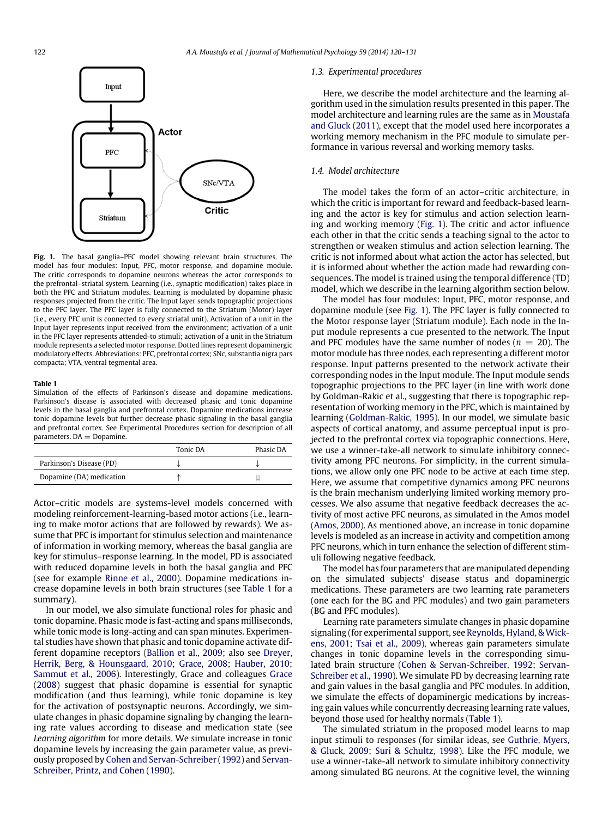<span id="page-2-0"></span>

**Fig. 1.** The basal ganglia–PFC model showing relevant brain structures. The model has four modules: Input, PFC, motor response, and dopamine module. The critic corresponds to dopamine neurons whereas the actor corresponds to the prefrontal–striatal system. Learning (i.e., synaptic modification) takes place in both the PFC and Striatum modules. Learning is modulated by dopamine phasic responses projected from the critic. The Input layer sends topographic projections to the PFC layer. The PFC layer is fully connected to the Striatum (Motor) layer (i.e., every PFC unit is connected to every striatal unit). Activation of a unit in the Input layer represents input received from the environment; activation of a unit in the PFC layer represents attended-to stimuli; activation of a unit in the Striatum module represents a selected motor response. Dotted lines represent dopaminergic modulatory effects. Abbreviations: PFC, prefrontal cortex; SNc, substantia nigra pars compacta; VTA, ventral tegmental area.

### <span id="page-2-1"></span>**Table 1**

Simulation of the effects of Parkinson's disease and dopamine medications. Parkinson's disease is associated with decreased phasic and tonic dopamine levels in the basal ganglia and prefrontal cortex. Dopamine medications increase tonic dopamine levels but further decrease phasic signaling in the basal ganglia and prefrontal cortex. See Experimental Procedures section for description of all  $parameters$ . D $A = Dopamine$ .

|                          | Tonic DA | Phasic DA |
|--------------------------|----------|-----------|
| Parkinson's Disease (PD) |          |           |
| Dopamine (DA) medication |          |           |

Actor–critic models are systems-level models concerned with modeling reinforcement-learning-based motor actions (i.e., learning to make motor actions that are followed by rewards). We assume that PFC is important for stimulus selection and maintenance of information in working memory, whereas the basal ganglia are key for stimulus–response learning. In the model, PD is associated with reduced dopamine levels in both the basal ganglia and PFC (see for example [Rinne](#page-10-4) [et al.,](#page-10-4) [2000\)](#page-10-4). Dopamine medications increase dopamine levels in both brain structures (see [Table 1](#page-2-1) for a summary).

In our model, we also simulate functional roles for phasic and tonic dopamine. Phasic mode is fast-acting and spans milliseconds, while tonic mode is long-acting and can span minutes. Experimental studies have shown that phasic and tonic dopamine activate different dopamine receptors [\(Ballion](#page-9-22) [et al.,](#page-9-22) [2009;](#page-9-22) also see [Dreyer,](#page-9-23) [Herrik,](#page-9-23) [Berg,](#page-9-23) [&](#page-9-23) [Hounsgaard,](#page-9-23) [2010;](#page-9-23) [Grace,](#page-9-24) [2008;](#page-9-24) [Hauber,](#page-10-27) [2010;](#page-10-27) [Sammut](#page-10-28) [et al.,](#page-10-28) [2006\)](#page-10-28). Interestingly, Grace and colleagues [Grace](#page-9-24) [\(2008\)](#page-9-24) suggest that phasic dopamine is essential for synaptic modification (and thus learning), while tonic dopamine is key for the activation of postsynaptic neurons. Accordingly, we simulate changes in phasic dopamine signaling by changing the learning rate values according to disease and medication state (see *Learning algorithm* for more details. We simulate increase in tonic dopamine levels by increasing the gain parameter value, as previ[o](#page-11-2)usly proposed by [Cohen](#page-9-25) [and](#page-9-25) [Servan-Schreiber](#page-9-25) [\(1992\)](#page-9-25) and [Servan-](#page-11-2)[Schreiber,](#page-11-2) [Printz,](#page-11-2) [and](#page-11-2) [Cohen](#page-11-2) [\(1990\)](#page-11-2).

### *1.3. Experimental procedures*

Here, we describe the model architecture and the learning algorithm used in the simulation results presented in this paper. The model architecture and learning rules are the same as in [Moustafa](#page-10-18) [and](#page-10-18) [Gluck](#page-10-18) [\(2011\)](#page-10-18), except that the model used here incorporates a working memory mechanism in the PFC module to simulate performance in various reversal and working memory tasks.

### *1.4. Model architecture*

The model takes the form of an actor–critic architecture, in which the critic is important for reward and feedback-based learning and the actor is key for stimulus and action selection learning and working memory [\(Fig. 1\)](#page-2-0). The critic and actor influence each other in that the critic sends a teaching signal to the actor to strengthen or weaken stimulus and action selection learning. The critic is not informed about what action the actor has selected, but it is informed about whether the action made had rewarding consequences. The model is trained using the temporal difference (TD) model, which we describe in the learning algorithm section below.

The model has four modules: Input, PFC, motor response, and dopamine module (see [Fig. 1\)](#page-2-0). The PFC layer is fully connected to the Motor response layer (Striatum module). Each node in the Input module represents a cue presented to the network. The Input and PFC modules have the same number of nodes ( $n = 20$ ). The motor module has three nodes, each representing a different motor response. Input patterns presented to the network activate their corresponding nodes in the Input module. The Input module sends topographic projections to the PFC layer (in line with work done by Goldman-Rakic et al., suggesting that there is topographic representation of working memory in the PFC, which is maintained by learning [\(Goldman-Rakic,](#page-9-21) [1995\)](#page-9-21). In our model, we simulate basic aspects of cortical anatomy, and assume perceptual input is projected to the prefrontal cortex via topographic connections. Here, we use a winner-take-all network to simulate inhibitory connectivity among PFC neurons. For simplicity, in the current simulations, we allow only one PFC node to be active at each time step. Here, we assume that competitive dynamics among PFC neurons is the brain mechanism underlying limited working memory processes. We also assume that negative feedback decreases the activity of most active PFC neurons, as simulated in the Amos model [\(Amos,](#page-9-7) [2000\)](#page-9-7). As mentioned above, an increase in tonic dopamine levels is modeled as an increase in activity and competition among PFC neurons, which in turn enhance the selection of different stimuli following negative feedback.

The model has four parameters that are manipulated depending on the simulated subjects' disease status and dopaminergic medications. These parameters are two learning rate parameters (one each for the BG and PFC modules) and two gain parameters (BG and PFC modules).

Learning rate parameters simulate changes in phasic dopamine [s](#page-10-29)ignaling (for experimental support, see [Reynolds,](#page-10-29) [Hyland,](#page-10-29) [&](#page-10-29) [Wick](#page-10-29)[ens,](#page-10-29) [2001;](#page-10-29) [Tsai](#page-11-3) [et al.,](#page-11-3) [2009\)](#page-11-3), whereas gain parameters simulate changes in tonic dopamine levels in the corresponding simu[l](#page-11-2)ated brain structure [\(Cohen](#page-9-25) [&](#page-9-25) [Servan-Schreiber,](#page-9-25) [1992;](#page-9-25) [Servan-](#page-11-2)[Schreiber](#page-11-2) [et al.,](#page-11-2) [1990\)](#page-11-2). We simulate PD by decreasing learning rate and gain values in the basal ganglia and PFC modules. In addition, we simulate the effects of dopaminergic medications by increasing gain values while concurrently decreasing learning rate values, beyond those used for healthy normals [\(Table 1\)](#page-2-1).

The simulated striatum in the proposed model learns to map input stimuli to responses (for similar ideas, see [Guthrie,](#page-10-30) [Myers,](#page-10-30) [&](#page-10-30) [Gluck,](#page-10-30) [2009;](#page-10-30) [Suri](#page-11-4) [&](#page-11-4) [Schultz,](#page-11-4) [1998\)](#page-11-4). Like the PFC module, we use a winner-take-all network to simulate inhibitory connectivity among simulated BG neurons. At the cognitive level, the winning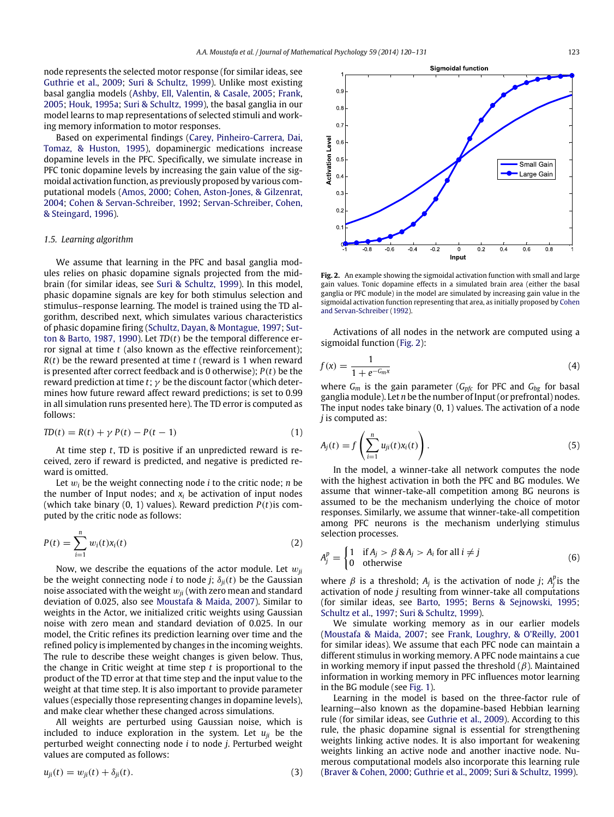node represents the selected motor response (for similar ideas, see [Guthrie](#page-10-30) [et al.,](#page-10-30) [2009;](#page-10-30) [Suri](#page-11-5) [&](#page-11-5) [Schultz,](#page-11-5) [1999\)](#page-11-5). Unlike most existing basal ganglia models [\(Ashby,](#page-9-26) [Ell,](#page-9-26) [Valentin,](#page-9-26) [&](#page-9-26) [Casale,](#page-9-26) [2005;](#page-9-26) [Frank,](#page-9-27) [2005;](#page-9-27) [Houk,](#page-10-31) [1995a;](#page-10-31) [Suri](#page-11-5) [&](#page-11-5) [Schultz,](#page-11-5) [1999\)](#page-11-5), the basal ganglia in our model learns to map representations of selected stimuli and working memory information to motor responses.

Based on experimental findings [\(Carey,](#page-9-28) [Pinheiro-Carrera,](#page-9-28) [Dai,](#page-9-28) [Tomaz,](#page-9-28) [&](#page-9-28) [Huston,](#page-9-28) [1995\)](#page-9-28), dopaminergic medications increase dopamine levels in the PFC. Specifically, we simulate increase in PFC tonic dopamine levels by increasing the gain value of the sigmoidal activation function, as previously proposed by various computational models [\(Amos,](#page-9-7) [2000;](#page-9-7) [Cohen,](#page-9-29) [Aston-Jones,](#page-9-29) [&](#page-9-29) [Gilzenrat,](#page-9-29) [2004;](#page-9-29) [Cohen](#page-9-25) [&](#page-9-25) [Servan-Schreiber,](#page-9-25) [1992;](#page-9-25) [Servan-Schreiber,](#page-11-6) [Cohen,](#page-11-6) [&](#page-11-6) [Steingard,](#page-11-6) [1996\)](#page-11-6).

### *1.5. Learning algorithm*

We assume that learning in the PFC and basal ganglia modules relies on phasic dopamine signals projected from the midbrain (for similar ideas, see [Suri](#page-11-5) [&](#page-11-5) [Schultz,](#page-11-5) [1999\)](#page-11-5). In this model, phasic dopamine signals are key for both stimulus selection and stimulus–response learning. The model is trained using the TD algorithm, described next, which simulates various characteristics [o](#page-11-8)f phasic dopamine firing [\(Schultz,](#page-11-7) [Dayan,](#page-11-7) [&](#page-11-7) [Montague,](#page-11-7) [1997;](#page-11-7) [Sut](#page-11-8)[ton](#page-11-8) [&](#page-11-8) [Barto,](#page-11-8) [1987,](#page-11-8) [1990\)](#page-11-9). Let *TD*(*t*) be the temporal difference error signal at time *t* (also known as the effective reinforcement); *R*(*t*) be the reward presented at time *t* (reward is 1 when reward is presented after correct feedback and is 0 otherwise); *P*(*t*) be the reward prediction at time *t*; γ be the discount factor (which determines how future reward affect reward predictions; is set to 0.99 in all simulation runs presented here). The TD error is computed as follows:

$$
TD(t) = R(t) + \gamma P(t) - P(t-1)
$$
\n<sup>(1)</sup>

At time step *t*, TD is positive if an unpredicted reward is received, zero if reward is predicted, and negative is predicted reward is omitted.

Let  $w_i$  be the weight connecting node  $i$  to the critic node;  $n$  be the number of Input nodes; and *x<sup>i</sup>* be activation of input nodes (which take binary (0, 1) values). Reward prediction *P*(*t*)is computed by the critic node as follows:

$$
P(t) = \sum_{i=1}^{n} w_i(t) x_i(t)
$$
 (2)

Now, we describe the equations of the actor module. Let w*ji* be the weight connecting node *i* to node *j*;  $\delta_{ii}(t)$  be the Gaussian noise associated with the weight  $w_{ji}$  (with zero mean and standard deviation of 0.025, also see [Moustafa](#page-10-19) [&](#page-10-19) [Maida,](#page-10-19) [2007\)](#page-10-19). Similar to weights in the Actor, we initialized critic weights using Gaussian noise with zero mean and standard deviation of 0.025. In our model, the Critic refines its prediction learning over time and the refined policy is implemented by changes in the incoming weights. The rule to describe these weight changes is given below. Thus, the change in Critic weight at time step *t* is proportional to the product of the TD error at that time step and the input value to the weight at that time step. It is also important to provide parameter values (especially those representing changes in dopamine levels), and make clear whether these changed across simulations.

All weights are perturbed using Gaussian noise, which is included to induce exploration in the system. Let  $u_{ji}$  be the perturbed weight connecting node *i* to node *j*. Perturbed weight values are computed as follows:

$$
u_{ji}(t) = w_{ji}(t) + \delta_{ji}(t). \tag{3}
$$

<span id="page-3-0"></span>

**Fig. 2.** An example showing the sigmoidal activation function with small and large gain values. Tonic dopamine effects in a simulated brain area (either the basal ganglia or PFC module) in the model are simulated by increasing gain value in the sigmoidal activation function representing that area, as initially proposed by [Cohen](#page-9-25) [and](#page-9-25) [Servan-Schreiber](#page-9-25) [\(1992\)](#page-9-25).

Activations of all nodes in the network are computed using a sigmoidal function [\(Fig. 2\)](#page-3-0):

$$
f(x) = \frac{1}{1 + e^{-G_m x}}\tag{4}
$$

where *G<sup>m</sup>* is the gain parameter (*Gpfc* for PFC and *Gbg* for basal ganglia module). Let *n* be the number of Input (or prefrontal) nodes. The input nodes take binary (0, 1) values. The activation of a node *j* is computed as:

$$
A_j(t) = f\left(\sum_{i=1}^n u_{ji}(t)x_i(t)\right).
$$
\n(5)

In the model, a winner-take all network computes the node with the highest activation in both the PFC and BG modules. We assume that winner-take-all competition among BG neurons is assumed to be the mechanism underlying the choice of motor responses. Similarly, we assume that winner-take-all competition among PFC neurons is the mechanism underlying stimulus selection processes.

$$
A_j^p = \begin{cases} 1 & \text{if } A_j > \beta \& A_j > A_i \text{ for all } i \neq j \\ 0 & \text{otherwise} \end{cases}
$$
 (6)

where  $\beta$  is a threshold;  $A_j$  is the activation of node *j*;  $A_j^p$  is the activation of node *j* resulting from winner-take all computations (for similar ideas, see [Barto,](#page-9-30) [1995;](#page-9-30) [Berns](#page-9-31) [&](#page-9-31) [Sejnowski,](#page-9-31) [1995;](#page-9-31) [Schultz](#page-11-7) [et al.,](#page-11-7) [1997;](#page-11-7) [Suri](#page-11-5) [&](#page-11-5) [Schultz,](#page-11-5) [1999\)](#page-11-5).

We simulate working memory as in our earlier models [\(Moustafa](#page-10-19) [&](#page-10-19) [Maida,](#page-10-19) [2007;](#page-10-19) see [Frank,](#page-9-32) [Loughry,](#page-9-32) [&](#page-9-32) [O'Reilly,](#page-9-32) [2001](#page-9-32) for similar ideas). We assume that each PFC node can maintain a different stimulus in working memory. A PFC node maintains a cue in working memory if input passed the threshold  $(\beta)$ . Maintained information in working memory in PFC influences motor learning in the BG module (see [Fig. 1\)](#page-2-0).

Learning in the model is based on the three-factor rule of learning—also known as the dopamine-based Hebbian learning rule (for similar ideas, see [Guthrie](#page-10-30) [et al.,](#page-10-30) [2009\)](#page-10-30). According to this rule, the phasic dopamine signal is essential for strengthening weights linking active nodes. It is also important for weakening weights linking an active node and another inactive node. Numerous computational models also incorporate this learning rule [\(Braver](#page-9-33) [&](#page-9-33) [Cohen,](#page-9-33) [2000;](#page-9-33) [Guthrie](#page-10-30) [et al.,](#page-10-30) [2009;](#page-10-30) [Suri](#page-11-5) [&](#page-11-5) [Schultz,](#page-11-5) [1999\)](#page-11-5).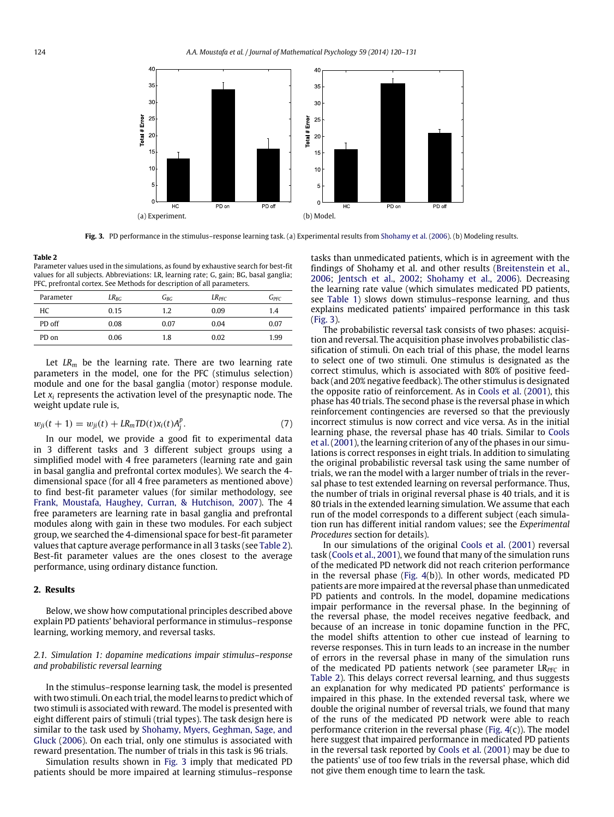<span id="page-4-1"></span>

Fig. 3. PD performance in the stimulus-response learning task. (a) Experimental results from [Shohamy](#page-11-10) [et al.](#page-11-10) [\(2006\)](#page-11-10). (b) Modeling results.

#### <span id="page-4-0"></span>**Table 2**

Parameter values used in the simulations, as found by exhaustive search for best-fit values for all subjects. Abbreviations: LR, learning rate; G, gain; BG, basal ganglia; PFC, prefrontal cortex. See Methods for description of all parameters.

| Parameter | $LR_{BG}$ | $G_{BG}$ | $LR_{PFC}$ | $G_{PFC}$ |
|-----------|-----------|----------|------------|-----------|
| HC.       | 0.15      | 1.2      | 0.09       | 1.4       |
| PD off    | 0.08      | 0.07     | 0.04       | 0.07      |
| PD on     | 0.06      | 1.8      | 0.02       | 1.99      |

Let *LR<sup>m</sup>* be the learning rate. There are two learning rate parameters in the model, one for the PFC (stimulus selection) module and one for the basal ganglia (motor) response module. Let  $x_i$  represents the activation level of the presynaptic node. The weight update rule is,

$$
w_{ji}(t+1) = w_{ji}(t) + LR_m T D(t) x_i(t) A_j^p.
$$
 (7)

In our model, we provide a good fit to experimental data in 3 different tasks and 3 different subject groups using a simplified model with 4 free parameters (learning rate and gain in basal ganglia and prefrontal cortex modules). We search the 4 dimensional space (for all 4 free parameters as mentioned above) to find best-fit parameter values (for similar methodology, see [Frank,](#page-9-34) [Moustafa,](#page-9-34) [Haughey,](#page-9-34) [Curran,](#page-9-34) [&](#page-9-34) [Hutchison,](#page-9-34) [2007\)](#page-9-34). The 4 free parameters are learning rate in basal ganglia and prefrontal modules along with gain in these two modules. For each subject group, we searched the 4-dimensional space for best-fit parameter values that capture average performance in all 3 tasks (see [Table 2\)](#page-4-0). Best-fit parameter values are the ones closest to the average performance, using ordinary distance function.

## **2. Results**

Below, we show how computational principles described above explain PD patients' behavioral performance in stimulus–response learning, working memory, and reversal tasks.

# *2.1. Simulation 1: dopamine medications impair stimulus–response and probabilistic reversal learning*

In the stimulus–response learning task, the model is presented with two stimuli. On each trial, the model learns to predict which of two stimuli is associated with reward. The model is presented with eight different pairs of stimuli (trial types). The task design here is similar to the task used by [Shohamy,](#page-11-10) [Myers,](#page-11-10) [Geghman,](#page-11-10) [Sage,](#page-11-10) [and](#page-11-10) [Gluck](#page-11-10) [\(2006\)](#page-11-10). On each trial, only one stimulus is associated with reward presentation. The number of trials in this task is 96 trials.

Simulation results shown in [Fig. 3](#page-4-1) imply that medicated PD patients should be more impaired at learning stimulus–response tasks than unmedicated patients, which is in agreement with the findings of Shohamy et al. and other results [\(Breitenstein](#page-9-0) [et al.,](#page-9-0) [2006;](#page-9-0) [Jentsch](#page-10-12) [et al.,](#page-10-12) [2002;](#page-10-12) [Shohamy](#page-11-10) [et al.,](#page-11-10) [2006\)](#page-11-10). Decreasing the learning rate value (which simulates medicated PD patients, see [Table 1\)](#page-2-1) slows down stimulus–response learning, and thus explains medicated patients' impaired performance in this task [\(Fig. 3\)](#page-4-1).

The probabilistic reversal task consists of two phases: acquisition and reversal. The acquisition phase involves probabilistic classification of stimuli. On each trial of this phase, the model learns to select one of two stimuli. One stimulus is designated as the correct stimulus, which is associated with 80% of positive feedback (and 20% negative feedback). The other stimulus is designated the opposite ratio of reinforcement. As in [Cools](#page-9-5) [et al.](#page-9-5) [\(2001\)](#page-9-5), this phase has 40 trials. The second phase is the reversal phase in which reinforcement contingencies are reversed so that the previously incorrect stimulus is now correct and vice versa. As in the initial learning phase, the reversal phase has 40 trials. Similar to [Cools](#page-9-5) [et al.](#page-9-5) [\(2001\)](#page-9-5), the learning criterion of any of the phases in our simulations is correct responses in eight trials. In addition to simulating the original probabilistic reversal task using the same number of trials, we ran the model with a larger number of trials in the reversal phase to test extended learning on reversal performance. Thus, the number of trials in original reversal phase is 40 trials, and it is 80 trials in the extended learning simulation. We assume that each run of the model corresponds to a different subject (each simulation run has different initial random values; see the *Experimental Procedures* section for details).

In our simulations of the original [Cools](#page-9-5) [et al.](#page-9-5) [\(2001\)](#page-9-5) reversal task [\(Cools](#page-9-5) [et al.,](#page-9-5) [2001\)](#page-9-5), we found that many of the simulation runs of the medicated PD network did not reach criterion performance in the reversal phase [\(Fig. 4\(](#page-5-0)b)). In other words, medicated PD patients are more impaired at the reversal phase than unmedicated PD patients and controls. In the model, dopamine medications impair performance in the reversal phase. In the beginning of the reversal phase, the model receives negative feedback, and because of an increase in tonic dopamine function in the PFC, the model shifts attention to other cue instead of learning to reverse responses. This in turn leads to an increase in the number of errors in the reversal phase in many of the simulation runs of the medicated PD patients network (see parameter LR*PFC* in [Table 2\)](#page-4-0). This delays correct reversal learning, and thus suggests an explanation for why medicated PD patients' performance is impaired in this phase. In the extended reversal task, where we double the original number of reversal trials, we found that many of the runs of the medicated PD network were able to reach performance criterion in the reversal phase [\(Fig. 4\(](#page-5-0)c)). The model here suggest that impaired performance in medicated PD patients in the reversal task reported by [Cools](#page-9-5) [et al.](#page-9-5) [\(2001\)](#page-9-5) may be due to the patients' use of too few trials in the reversal phase, which did not give them enough time to learn the task.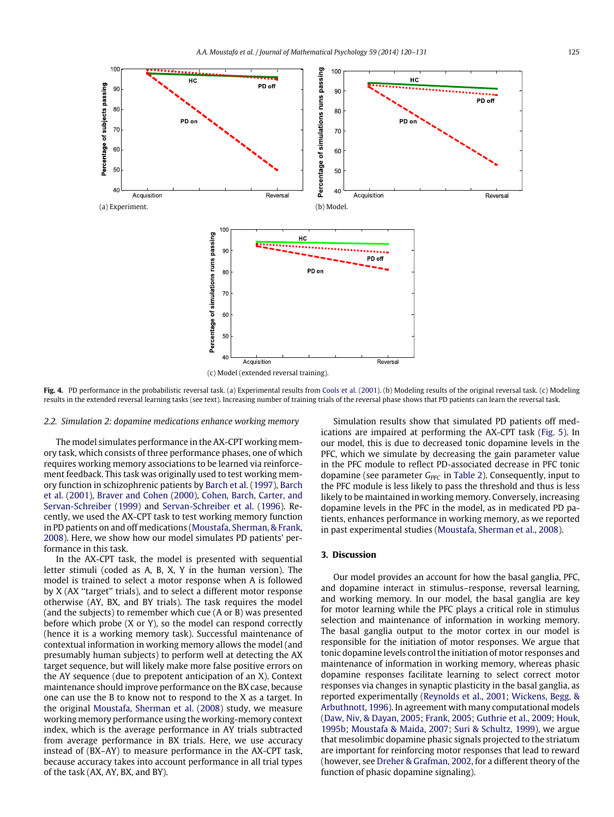<span id="page-5-0"></span>

(c) Model (extended reversal training).

**Fig. 4.** PD performance in the probabilistic reversal task. (a) Experimental results from [Cools](#page-9-5) [et al.](#page-9-5) [\(2001\)](#page-9-5). (b) Modeling results of the original reversal task. (c) Modeling results in the extended reversal learning tasks (see text). Increasing number of training trials of the reversal phase shows that PD patients can learn the reversal task.

### *2.2. Simulation 2: dopamine medications enhance working memory*

The model simulates performance in the AX-CPT working memory task, which consists of three performance phases, one of which requires working memory associations to be learned via reinforcement feedback. This task was originally used to test working memory function in schizophrenic patients by [Barch](#page-9-35) [et al.](#page-9-35) [\(1997\)](#page-9-35), [Barch](#page-9-36) [et al.](#page-9-36) [\(2001\)](#page-9-36), [Braver](#page-9-33) [and](#page-9-33) [Cohen](#page-9-33) [\(2000\)](#page-9-33), [Cohen,](#page-9-37) [Barch,](#page-9-37) [Carter,](#page-9-37) [and](#page-9-37) [Servan-Schreiber](#page-9-37) [\(1999\)](#page-9-37) and [Servan-Schreiber](#page-11-6) [et al.](#page-11-6) [\(1996\)](#page-11-6). Recently, we used the AX-CPT task to test working memory function in PD patients on and off medications [\(Moustafa,](#page-10-32) [Sherman,](#page-10-32) [&](#page-10-32) [Frank,](#page-10-32) [2008\)](#page-10-32). Here, we show how our model simulates PD patients' performance in this task.

In the AX-CPT task, the model is presented with sequential letter stimuli (coded as A, B, X, Y in the human version). The model is trained to select a motor response when A is followed by X (AX ''target'' trials), and to select a different motor response otherwise (AY, BX, and BY trials). The task requires the model (and the subjects) to remember which cue (A or B) was presented before which probe (X or Y), so the model can respond correctly (hence it is a working memory task). Successful maintenance of contextual information in working memory allows the model (and presumably human subjects) to perform well at detecting the AX target sequence, but will likely make more false positive errors on the AY sequence (due to prepotent anticipation of an X). Context maintenance should improve performance on the BX case, because one can use the B to know not to respond to the X as a target. In the original [Moustafa,](#page-10-1) [Sherman](#page-10-1) [et al.](#page-10-1) [\(2008\)](#page-10-1) study, we measure working memory performance using the working-memory context index, which is the average performance in AY trials subtracted from average performance in BX trials. Here, we use accuracy instead of (BX–AY) to measure performance in the AX-CPT task, because accuracy takes into account performance in all trial types of the task (AX, AY, BX, and BY).

Simulation results show that simulated PD patients off medications are impaired at performing the AX-CPT task [\(Fig. 5\)](#page-6-0). In our model, this is due to decreased tonic dopamine levels in the PFC, which we simulate by decreasing the gain parameter value in the PFC module to reflect PD-associated decrease in PFC tonic dopamine (see parameter *GPFC* in [Table 2\)](#page-4-0). Consequently, input to the PFC module is less likely to pass the threshold and thus is less likely to be maintained in working memory. Conversely, increasing dopamine levels in the PFC in the model, as in medicated PD patients, enhances performance in working memory, as we reported in past experimental studies [\(Moustafa,](#page-10-1) [Sherman](#page-10-1) [et al.,](#page-10-1) [2008\)](#page-10-1).

# **3. Discussion**

Our model provides an account for how the basal ganglia, PFC, and dopamine interact in stimulus–response, reversal learning, and working memory. In our model, the basal ganglia are key for motor learning while the PFC plays a critical role in stimulus selection and maintenance of information in working memory. The basal ganglia output to the motor cortex in our model is responsible for the initiation of motor responses. We argue that tonic dopamine levels control the initiation of motor responses and maintenance of information in working memory, whereas phasic dopamine responses facilitate learning to select correct motor responses via changes in synaptic plasticity in the basal ganglia, as reported experimentally [\(Reynolds](#page-10-29) [et al.,](#page-10-29) [2001;](#page-10-29) [Wickens,](#page-11-11) [Begg,](#page-11-11) [&](#page-11-11) [Arbuthnott,](#page-11-11) [1996\)](#page-11-11). In agreement with many computational models [\(Daw,](#page-9-38) [Niv,](#page-9-38) [&](#page-9-38) [Dayan,](#page-9-38) [2005;](#page-9-38) [Frank,](#page-9-27) [2005;](#page-9-27) [Guthrie](#page-10-30) [et al.,](#page-10-30) [2009;](#page-10-30) [Houk,](#page-10-33) [1995b;](#page-10-33) [Moustafa](#page-10-19) [&](#page-10-19) [Maida,](#page-10-19) [2007;](#page-10-19) [Suri](#page-11-5) [&](#page-11-5) [Schultz,](#page-11-5) [1999\)](#page-11-5), we argue that mesolimbic dopamine phasic signals projected to the striatum are important for reinforcing motor responses that lead to reward (however, see [Dreher](#page-9-39) [&](#page-9-39) [Grafman,](#page-9-39) [2002,](#page-9-39) for a different theory of the function of phasic dopamine signaling).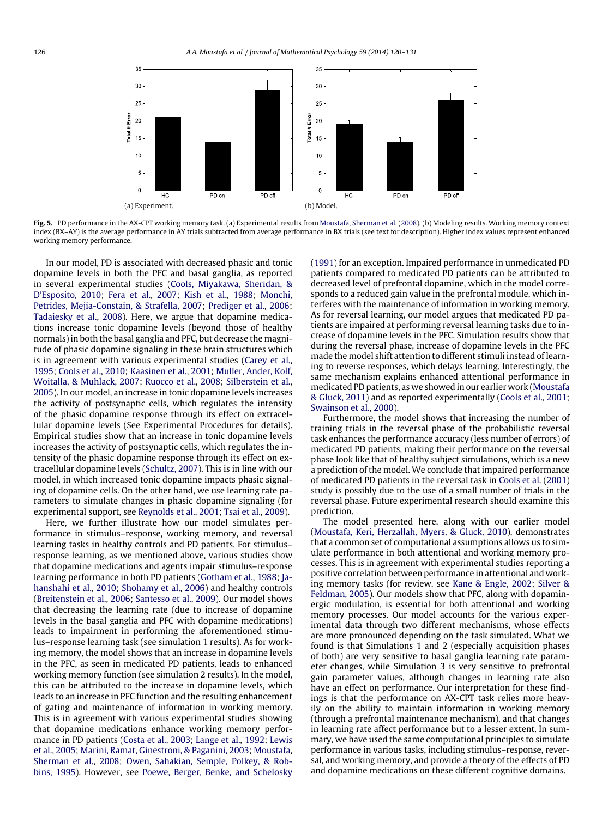<span id="page-6-0"></span>

**Fig. 5.** PD performance in the AX-CPT working memory task. (a) Experimental results from [Moustafa,](#page-10-1) [Sherman](#page-10-1) [et al.](#page-10-1) [\(2008\)](#page-10-1). (b) Modeling results. Working memory context index (BX–AY) is the average performance in AY trials subtracted from average performance in BX trials (see text for description). Higher index values represent enhanced working memory performance.

In our model, PD is associated with decreased phasic and tonic dopamine levels in both the PFC and basal ganglia, as reported in several experimental studies [\(Cools,](#page-9-40) [Miyakawa,](#page-9-40) [Sheridan,](#page-9-40) [&](#page-9-40) [D'Esposito,](#page-9-40) [2010;](#page-9-40) [Fera](#page-9-41) [et al.,](#page-9-41) [2007;](#page-9-41) [Kish](#page-10-3) [et al.,](#page-10-3) [1988;](#page-10-3) [Monchi,](#page-10-34) [Petrides,](#page-10-34) [Mejia-Constain,](#page-10-34) [&](#page-10-34) [Strafella,](#page-10-34) [2007;](#page-10-34) [Prediger](#page-10-35) [et al.,](#page-10-35) [2006;](#page-10-35) [Tadaiesky](#page-11-12) [et al.,](#page-11-12) [2008\)](#page-11-12). Here, we argue that dopamine medications increase tonic dopamine levels (beyond those of healthy normals) in both the basal ganglia and PFC, but decrease the magnitude of phasic dopamine signaling in these brain structures which is in agreement with various experimental studies [\(Carey](#page-9-28) [et al.,](#page-9-28) [1995;](#page-9-28) [Cools](#page-9-40) [et al.,](#page-9-40) [2010;](#page-9-40) [Kaasinen](#page-10-36) [et al.,](#page-10-36) [2001;](#page-10-36) [Muller,](#page-10-32) [Ander,](#page-10-32) [Kolf,](#page-10-32) [Woitalla,](#page-10-32) [&](#page-10-32) [Muhlack,](#page-10-32) [2007;](#page-10-32) [Ruocco](#page-10-37) [et al.,](#page-10-37) [2008;](#page-10-37) [Silberstein](#page-11-13) [et al.,](#page-11-13) [2005\)](#page-11-13). In our model, an increase in tonic dopamine levels increases the activity of postsynaptic cells, which regulates the intensity of the phasic dopamine response through its effect on extracellular dopamine levels (See Experimental Procedures for details). Empirical studies show that an increase in tonic dopamine levels increases the activity of postsynaptic cells, which regulates the intensity of the phasic dopamine response through its effect on extracellular dopamine levels [\(Schultz,](#page-11-14) [2007\)](#page-11-14). This is in line with our model, in which increased tonic dopamine impacts phasic signaling of dopamine cells. On the other hand, we use learning rate parameters to simulate changes in phasic dopamine signaling (for experimental support, see [Reynolds](#page-10-29) [et al.,](#page-10-29) [2001;](#page-10-29) [Tsai](#page-11-3) [et al.,](#page-11-3) [2009\)](#page-11-3).

Here, we further illustrate how our model simulates performance in stimulus–response, working memory, and reversal learning tasks in healthy controls and PD patients. For stimulus– response learning, as we mentioned above, various studies show that dopamine medications and agents impair stimulus–response [l](#page-10-13)earning performance in both PD patients [\(Gotham](#page-9-1) [et al.,](#page-9-1) [1988;](#page-9-1) [Ja](#page-10-13)[hanshahi](#page-10-13) [et al.,](#page-10-13) [2010;](#page-10-13) [Shohamy](#page-11-10) [et al.,](#page-11-10) [2006\)](#page-11-10) and healthy controls [\(Breitenstein](#page-9-0) [et al.,](#page-9-0) [2006;](#page-9-0) [Santesso](#page-10-38) [et al.,](#page-10-38) [2009\)](#page-10-38). Our model shows that decreasing the learning rate (due to increase of dopamine levels in the basal ganglia and PFC with dopamine medications) leads to impairment in performing the aforementioned stimulus–response learning task (see simulation 1 results). As for working memory, the model shows that an increase in dopamine levels in the PFC, as seen in medicated PD patients, leads to enhanced working memory function (see simulation 2 results). In the model, this can be attributed to the increase in dopamine levels, which leads to an increase in PFC function and the resulting enhancement of gating and maintenance of information in working memory. This is in agreement with various experimental studies showing that dopamine medications enhance working memory performance in PD patients [\(Costa](#page-9-2) [et al.,](#page-9-2) [2003;](#page-9-2) [Lange](#page-10-0) [et al.,](#page-10-0) [1992;](#page-10-0) [Lewis](#page-10-15) [et al.,](#page-10-15) [2005;](#page-10-15) [Marini,](#page-10-39) [Ramat,](#page-10-39) [Ginestroni,](#page-10-39) [&](#page-10-39) [Paganini,](#page-10-39) [2003;](#page-10-39) [Moustafa,](#page-10-1) [Sherman](#page-10-1) [et al.,](#page-10-1) [2008;](#page-10-1) [Owen,](#page-10-16) [Sahakian,](#page-10-16) [Semple,](#page-10-16) [Polkey,](#page-10-16) [&](#page-10-16) [Rob](#page-10-16)[bins,](#page-10-16) [1995\)](#page-10-16). However, see [Poewe,](#page-10-40) [Berger,](#page-10-40) [Benke,](#page-10-40) [and](#page-10-40) [Schelosky](#page-10-40) [\(1991\)](#page-10-40) for an exception. Impaired performance in unmedicated PD patients compared to medicated PD patients can be attributed to decreased level of prefrontal dopamine, which in the model corresponds to a reduced gain value in the prefrontal module, which interferes with the maintenance of information in working memory. As for reversal learning, our model argues that medicated PD patients are impaired at performing reversal learning tasks due to increase of dopamine levels in the PFC. Simulation results show that during the reversal phase, increase of dopamine levels in the PFC made the model shift attention to different stimuli instead of learning to reverse responses, which delays learning. Interestingly, the same mechanism explains enhanced attentional performance in medicated PD patients, as we showed in our earlier work [\(Moustafa](#page-10-18) [&](#page-10-18) [Gluck,](#page-10-18) [2011\)](#page-10-18) and as reported experimentally [\(Cools](#page-9-5) [et al.,](#page-9-5) [2001;](#page-9-5) [Swainson](#page-11-1) [et al.,](#page-11-1) [2000\)](#page-11-1).

Furthermore, the model shows that increasing the number of training trials in the reversal phase of the probabilistic reversal task enhances the performance accuracy (less number of errors) of medicated PD patients, making their performance on the reversal phase look like that of healthy subject simulations, which is a new a prediction of the model. We conclude that impaired performance of medicated PD patients in the reversal task in [Cools](#page-9-5) [et al.](#page-9-5) [\(2001\)](#page-9-5) study is possibly due to the use of a small number of trials in the reversal phase. Future experimental research should examine this prediction.

The model presented here, along with our earlier model [\(Moustafa,](#page-10-41) [Keri,](#page-10-41) [Herzallah,](#page-10-41) [Myers,](#page-10-41) [&](#page-10-41) [Gluck,](#page-10-41) [2010\)](#page-10-41), demonstrates that a common set of computational assumptions allows us to simulate performance in both attentional and working memory processes. This is in agreement with experimental studies reporting a positive correlation between performance in attentional and working memory tasks (for review, see [Kane](#page-10-42) [&](#page-10-42) [Engle,](#page-10-42) [2002;](#page-10-42) [Silver](#page-11-15) [&](#page-11-15) [Feldman,](#page-11-15) [2005\)](#page-11-15). Our models show that PFC, along with dopaminergic modulation, is essential for both attentional and working memory processes. Our model accounts for the various experimental data through two different mechanisms, whose effects are more pronounced depending on the task simulated. What we found is that Simulations 1 and 2 (especially acquisition phases of both) are very sensitive to basal ganglia learning rate parameter changes, while Simulation 3 is very sensitive to prefrontal gain parameter values, although changes in learning rate also have an effect on performance. Our interpretation for these findings is that the performance on AX-CPT task relies more heavily on the ability to maintain information in working memory (through a prefrontal maintenance mechanism), and that changes in learning rate affect performance but to a lesser extent. In summary, we have used the same computational principles to simulate performance in various tasks, including stimulus–response, reversal, and working memory, and provide a theory of the effects of PD and dopamine medications on these different cognitive domains.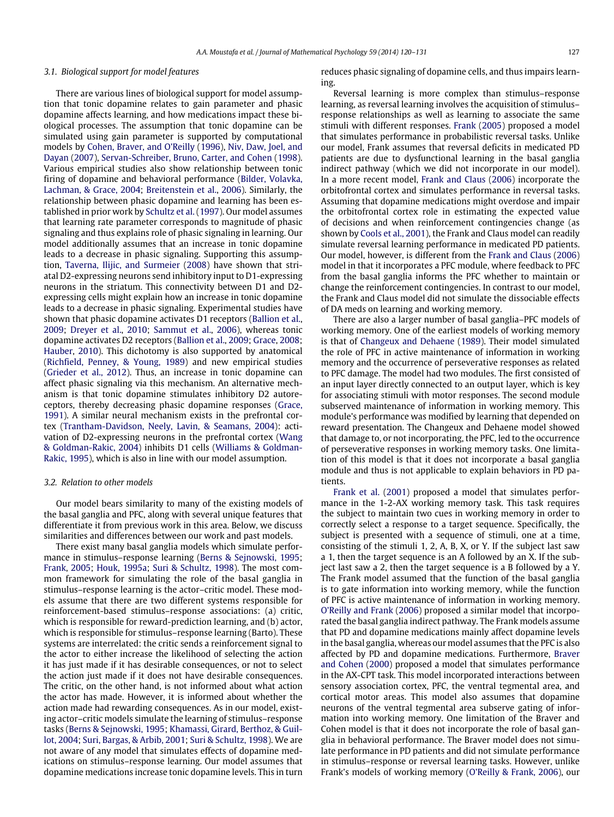### *3.1. Biological support for model features*

There are various lines of biological support for model assumption that tonic dopamine relates to gain parameter and phasic dopamine affects learning, and how medications impact these biological processes. The assumption that tonic dopamine can be simulated using gain parameter is supported by computational models by [Cohen,](#page-9-42) [Braver,](#page-9-42) [and](#page-9-42) [O'Reilly](#page-9-42) [\(1996\)](#page-9-42), [Niv,](#page-10-43) [Daw,](#page-10-43) [Joel,](#page-10-43) [and](#page-10-43) [Dayan](#page-10-43) [\(2007\)](#page-10-43), [Servan-Schreiber,](#page-11-16) [Bruno,](#page-11-16) [Carter,](#page-11-16) [and](#page-11-16) [Cohen](#page-11-16) [\(1998\)](#page-11-16). Various empirical studies also show relationship between tonic firing of dopamine and behavioral performance [\(Bilder,](#page-9-43) [Volavka,](#page-9-43) [Lachman,](#page-9-43) [&](#page-9-43) [Grace,](#page-9-43) [2004;](#page-9-43) [Breitenstein](#page-9-0) [et al.,](#page-9-0) [2006\)](#page-9-0). Similarly, the relationship between phasic dopamine and learning has been established in prior work by [Schultz](#page-11-7) [et al.](#page-11-7) [\(1997\)](#page-11-7). Our model assumes that learning rate parameter corresponds to magnitude of phasic signaling and thus explains role of phasic signaling in learning. Our model additionally assumes that an increase in tonic dopamine leads to a decrease in phasic signaling. Supporting this assumption, [Taverna,](#page-11-17) [Ilijic,](#page-11-17) [and](#page-11-17) [Surmeier](#page-11-17) [\(2008\)](#page-11-17) have shown that striatal D2-expressing neurons send inhibitory input to D1-expressing neurons in the striatum. This connectivity between D1 and D2 expressing cells might explain how an increase in tonic dopamine leads to a decrease in phasic signaling. Experimental studies have shown that phasic dopamine activates D1 receptors [\(Ballion](#page-9-22) [et al.,](#page-9-22) [2009;](#page-9-22) [Dreyer](#page-9-23) [et al.,](#page-9-23) [2010;](#page-9-23) [Sammut](#page-10-28) [et al.,](#page-10-28) [2006\)](#page-10-28), whereas tonic dopamine activates D2 receptors [\(Ballion](#page-9-22) [et al.,](#page-9-22) [2009;](#page-9-22) [Grace,](#page-9-24) [2008;](#page-9-24) [Hauber,](#page-10-27) [2010\)](#page-10-27). This dichotomy is also supported by anatomical [\(Richfield,](#page-10-44) [Penney,](#page-10-44) [&](#page-10-44) [Young,](#page-10-44) [1989\)](#page-10-44) and new empirical studies [\(Grieder](#page-9-44) [et al.,](#page-9-44) [2012\)](#page-9-44). Thus, an increase in tonic dopamine can affect phasic signaling via this mechanism. An alternative mechanism is that tonic dopamine stimulates inhibitory D2 autoreceptors, thereby decreasing phasic dopamine responses [\(Grace,](#page-9-13) [1991\)](#page-9-13). A similar neural mechanism exists in the prefrontal cortex [\(Trantham-Davidson,](#page-11-18) [Neely,](#page-11-18) [Lavin,](#page-11-18) [&](#page-11-18) [Seamans,](#page-11-18) [2004\)](#page-11-18): activation of D2-expressing neurons in the prefrontal cortex [\(Wang](#page-11-19) [&](#page-11-19) [Goldman-Rakic,](#page-11-19) [2004\)](#page-11-19) inhibits D1 cells [\(Williams](#page-11-20) [&](#page-11-20) [Goldman-](#page-11-20)[Rakic,](#page-11-20) [1995\)](#page-11-20), which is also in line with our model assumption.

### *3.2. Relation to other models*

Our model bears similarity to many of the existing models of the basal ganglia and PFC, along with several unique features that differentiate it from previous work in this area. Below, we discuss similarities and differences between our work and past models.

There exist many basal ganglia models which simulate performance in stimulus–response learning [\(Berns](#page-9-31) [&](#page-9-31) [Sejnowski,](#page-9-31) [1995;](#page-9-31) [Frank,](#page-9-27) [2005;](#page-9-27) [Houk,](#page-10-31) [1995a;](#page-10-31) [Suri](#page-11-4) [&](#page-11-4) [Schultz,](#page-11-4) [1998\)](#page-11-4). The most common framework for simulating the role of the basal ganglia in stimulus–response learning is the actor–critic model. These models assume that there are two different systems responsible for reinforcement-based stimulus–response associations: (a) critic, which is responsible for reward-prediction learning, and (b) actor, which is responsible for stimulus–response learning (Barto). These systems are interrelated: the critic sends a reinforcement signal to the actor to either increase the likelihood of selecting the action it has just made if it has desirable consequences, or not to select the action just made if it does not have desirable consequences. The critic, on the other hand, is not informed about what action the actor has made. However, it is informed about whether the action made had rewarding consequences. As in our model, existing actor–critic models simulate the learning of stimulus–response [t](#page-10-45)asks [\(Berns](#page-9-31) [&](#page-9-31) [Sejnowski,](#page-9-31) [1995;](#page-9-31) [Khamassi,](#page-10-45) [Girard,](#page-10-45) [Berthoz,](#page-10-45) [&](#page-10-45) [Guil](#page-10-45)[lot,](#page-10-45) [2004;](#page-10-45) [Suri,](#page-11-21) [Bargas,](#page-11-21) [&](#page-11-21) [Arbib,](#page-11-21) [2001;](#page-11-21) [Suri](#page-11-4) [&](#page-11-4) [Schultz,](#page-11-4) [1998\)](#page-11-4). We are not aware of any model that simulates effects of dopamine medications on stimulus–response learning. Our model assumes that dopamine medications increase tonic dopamine levels. This in turn reduces phasic signaling of dopamine cells, and thus impairs learning.

Reversal learning is more complex than stimulus–response learning, as reversal learning involves the acquisition of stimulus– response relationships as well as learning to associate the same stimuli with different responses. [Frank](#page-9-27) [\(2005\)](#page-9-27) proposed a model that simulates performance in probabilistic reversal tasks. Unlike our model, Frank assumes that reversal deficits in medicated PD patients are due to dysfunctional learning in the basal ganglia indirect pathway (which we did not incorporate in our model). In a more recent model, [Frank](#page-9-45) [and](#page-9-45) [Claus](#page-9-45) [\(2006\)](#page-9-45) incorporate the orbitofrontal cortex and simulates performance in reversal tasks. Assuming that dopamine medications might overdose and impair the orbitofrontal cortex role in estimating the expected value of decisions and when reinforcement contingencies change (as shown by [Cools](#page-9-5) [et al.,](#page-9-5) [2001\)](#page-9-5), the Frank and Claus model can readily simulate reversal learning performance in medicated PD patients. Our model, however, is different from the [Frank](#page-9-45) [and](#page-9-45) [Claus](#page-9-45) [\(2006\)](#page-9-45) model in that it incorporates a PFC module, where feedback to PFC from the basal ganglia informs the PFC whether to maintain or change the reinforcement contingencies. In contrast to our model, the Frank and Claus model did not simulate the dissociable effects of DA meds on learning and working memory.

There are also a larger number of basal ganglia–PFC models of working memory. One of the earliest models of working memory is that of [Changeux](#page-9-46) [and](#page-9-46) [Dehaene](#page-9-46) [\(1989\)](#page-9-46). Their model simulated the role of PFC in active maintenance of information in working memory and the occurrence of perseverative responses as related to PFC damage. The model had two modules. The first consisted of an input layer directly connected to an output layer, which is key for associating stimuli with motor responses. The second module subserved maintenance of information in working memory. This module's performance was modified by learning that depended on reward presentation. The Changeux and Dehaene model showed that damage to, or not incorporating, the PFC, led to the occurrence of perseverative responses in working memory tasks. One limitation of this model is that it does not incorporate a basal ganglia module and thus is not applicable to explain behaviors in PD patients.

[Frank](#page-9-32) [et al.](#page-9-32) [\(2001\)](#page-9-32) proposed a model that simulates performance in the 1-2-AX working memory task. This task requires the subject to maintain two cues in working memory in order to correctly select a response to a target sequence. Specifically, the subject is presented with a sequence of stimuli, one at a time, consisting of the stimuli 1, 2, A, B, X, or Y. If the subject last saw a 1, then the target sequence is an A followed by an X. If the subject last saw a 2, then the target sequence is a B followed by a Y. The Frank model assumed that the function of the basal ganglia is to gate information into working memory, while the function of PFC is active maintenance of information in working memory. [O'Reilly](#page-10-26) [and](#page-10-26) [Frank](#page-10-26) [\(2006\)](#page-10-26) proposed a similar model that incorporated the basal ganglia indirect pathway. The Frank models assume that PD and dopamine medications mainly affect dopamine levels in the basal ganglia, whereas our model assumes that the PFC is also affected by PD and dopamine medications. Furthermore, [Braver](#page-9-33) [and](#page-9-33) [Cohen](#page-9-33) [\(2000\)](#page-9-33) proposed a model that simulates performance in the AX-CPT task. This model incorporated interactions between sensory association cortex, PFC, the ventral tegmental area, and cortical motor areas. This model also assumes that dopamine neurons of the ventral tegmental area subserve gating of information into working memory. One limitation of the Braver and Cohen model is that it does not incorporate the role of basal ganglia in behavioral performance. The Braver model does not simulate performance in PD patients and did not simulate performance in stimulus–response or reversal learning tasks. However, unlike Frank's models of working memory [\(O'Reilly](#page-10-26) [&](#page-10-26) [Frank,](#page-10-26) [2006\)](#page-10-26), our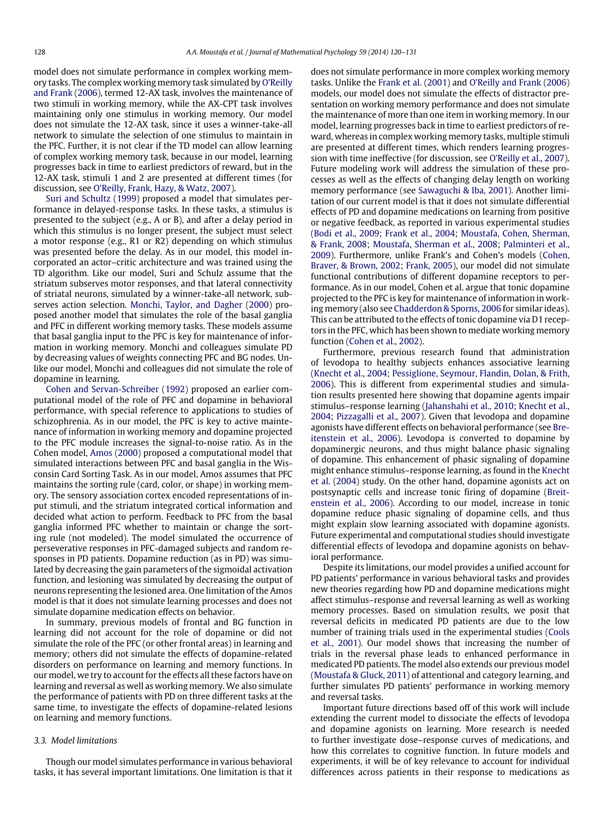model does not simulate performance in complex working memory tasks. The complex working memory task simulated by [O'Reilly](#page-10-26) [and](#page-10-26) [Frank](#page-10-26) [\(2006\)](#page-10-26), termed 12-AX task, involves the maintenance of two stimuli in working memory, while the AX-CPT task involves maintaining only one stimulus in working memory. Our model does not simulate the 12-AX task, since it uses a winner-take-all network to simulate the selection of one stimulus to maintain in the PFC. Further, it is not clear if the TD model can allow learning of complex working memory task, because in our model, learning progresses back in time to earliest predictors of reward, but in the 12-AX task, stimuli 1 and 2 are presented at different times (for discussion, see [O'Reilly,](#page-10-46) [Frank,](#page-10-46) [Hazy,](#page-10-46) [&](#page-10-46) [Watz,](#page-10-46) [2007\)](#page-10-46).

[Suri](#page-11-5) [and](#page-11-5) [Schultz](#page-11-5) [\(1999\)](#page-11-5) proposed a model that simulates performance in delayed-response tasks. In these tasks, a stimulus is presented to the subject (e.g., A or B), and after a delay period in which this stimulus is no longer present, the subject must select a motor response (e.g., R1 or R2) depending on which stimulus was presented before the delay. As in our model, this model incorporated an actor–critic architecture and was trained using the TD algorithm. Like our model, Suri and Schulz assume that the striatum subserves motor responses, and that lateral connectivity of striatal neurons, simulated by a winner-take-all network, subserves action selection. [Monchi,](#page-10-47) [Taylor,](#page-10-47) [and](#page-10-47) [Dagher](#page-10-47) [\(2000\)](#page-10-47) proposed another model that simulates the role of the basal ganglia and PFC in different working memory tasks. These models assume that basal ganglia input to the PFC is key for maintenance of information in working memory. Monchi and colleagues simulate PD by decreasing values of weights connecting PFC and BG nodes. Unlike our model, Monchi and colleagues did not simulate the role of dopamine in learning.

[Cohen](#page-9-25) [and](#page-9-25) [Servan-Schreiber](#page-9-25) [\(1992\)](#page-9-25) proposed an earlier computational model of the role of PFC and dopamine in behavioral performance, with special reference to applications to studies of schizophrenia. As in our model, the PFC is key to active maintenance of information in working memory and dopamine projected to the PFC module increases the signal-to-noise ratio. As in the Cohen model, [Amos](#page-9-7) [\(2000\)](#page-9-7) proposed a computational model that simulated interactions between PFC and basal ganglia in the Wisconsin Card Sorting Task. As in our model, Amos assumes that PFC maintains the sorting rule (card, color, or shape) in working memory. The sensory association cortex encoded representations of input stimuli, and the striatum integrated cortical information and decided what action to perform. Feedback to PFC from the basal ganglia informed PFC whether to maintain or change the sorting rule (not modeled). The model simulated the occurrence of perseverative responses in PFC-damaged subjects and random responses in PD patients. Dopamine reduction (as in PD) was simulated by decreasing the gain parameters of the sigmoidal activation function, and lesioning was simulated by decreasing the output of neurons representing the lesioned area. One limitation of the Amos model is that it does not simulate learning processes and does not simulate dopamine medication effects on behavior.

In summary, previous models of frontal and BG function in learning did not account for the role of dopamine or did not simulate the role of the PFC (or other frontal areas) in learning and memory; others did not simulate the effects of dopamine-related disorders on performance on learning and memory functions. In our model, we try to account for the effects all these factors have on learning and reversal as well as working memory. We also simulate the performance of patients with PD on three different tasks at the same time, to investigate the effects of dopamine-related lesions on learning and memory functions.

# *3.3. Model limitations*

Though our model simulates performance in various behavioral tasks, it has several important limitations. One limitation is that it does not simulate performance in more complex working memory tasks. Unlike the [Frank](#page-9-32) [et al.](#page-9-32) [\(2001\)](#page-9-32) and [O'Reilly](#page-10-26) [and](#page-10-26) [Frank](#page-10-26) [\(2006\)](#page-10-26) models, our model does not simulate the effects of distractor presentation on working memory performance and does not simulate the maintenance of more than one item in working memory. In our model, learning progresses back in time to earliest predictors of reward, whereas in complex working memory tasks, multiple stimuli are presented at different times, which renders learning progression with time ineffective (for discussion, see [O'Reilly](#page-10-46) [et al.,](#page-10-46) [2007\)](#page-10-46). Future modeling work will address the simulation of these processes as well as the effects of changing delay length on working memory performance (see [Sawaguchi](#page-10-25) [&](#page-10-25) [Iba,](#page-10-25) [2001\)](#page-10-25). Another limitation of our current model is that it does not simulate differential effects of PD and dopamine medications on learning from positive or negative feedback, as reported in various experimental studies [\(Bodi](#page-9-47) [et al.,](#page-9-47) [2009;](#page-9-47) [Frank](#page-9-12) [et al.,](#page-9-12) [2004;](#page-9-12) [Moustafa,](#page-10-48) [Cohen,](#page-10-48) [Sherman,](#page-10-48) [&](#page-10-48) [Frank,](#page-10-48) [2008;](#page-10-48) [Moustafa,](#page-10-1) [Sherman](#page-10-1) [et al.,](#page-10-1) [2008;](#page-10-1) [Palminteri](#page-10-49) [et al.,](#page-10-49) [2009\)](#page-10-49). Furthermore, unlike Frank's and Cohen's models [\(Cohen,](#page-9-42) [Braver,](#page-9-42) [&](#page-9-42) [Brown,](#page-9-42) [2002;](#page-9-42) [Frank,](#page-9-27) [2005\)](#page-9-27), our model did not simulate functional contributions of different dopamine receptors to performance. As in our model, Cohen et al. argue that tonic dopamine projected to the PFC is key for maintenance of information in working memory (also see [Chadderdon&Sporns,](#page-9-48) [2006](#page-9-48) for similar ideas). This can be attributed to the effects of tonic dopamine via D1 receptors in the PFC, which has been shown to mediate working memory function [\(Cohen](#page-9-3) [et al.,](#page-9-3) [2002\)](#page-9-3).

Furthermore, previous research found that administration of levodopa to healthy subjects enhances associative learning [\(Knecht](#page-10-50) [et al.,](#page-10-50) [2004;](#page-10-50) [Pessiglione,](#page-10-51) [Seymour,](#page-10-51) [Flandin,](#page-10-51) [Dolan,](#page-10-51) [&](#page-10-51) [Frith,](#page-10-51) [2006\)](#page-10-51). This is different from experimental studies and simulation results presented here showing that dopamine agents impair stimulus–response learning [\(Jahanshahi](#page-10-13) [et al.,](#page-10-13) [2010;](#page-10-13) [Knecht](#page-10-50) [et al.,](#page-10-50) [2004;](#page-10-50) [Pizzagalli](#page-10-14) [et al.,](#page-10-14) [2007\)](#page-10-14). Given that levodopa and dopamine [a](#page-9-0)gonists have different effects on behavioral performance (see [Bre](#page-9-0)[itenstein](#page-9-0) [et al.,](#page-9-0) [2006\)](#page-9-0). Levodopa is converted to dopamine by dopaminergic neurons, and thus might balance phasic signaling of dopamine. This enhancement of phasic signaling of dopamine might enhance stimulus–response learning, as found in the [Knecht](#page-10-50) [et al.](#page-10-50) [\(2004\)](#page-10-50) study. On the other hand, dopamine agonists act on [p](#page-9-0)ostsynaptic cells and increase tonic firing of dopamine [\(Breit](#page-9-0)[enstein](#page-9-0) [et al.,](#page-9-0) [2006\)](#page-9-0). According to our model, increase in tonic dopamine reduce phasic signaling of dopamine cells, and thus might explain slow learning associated with dopamine agonists. Future experimental and computational studies should investigate differential effects of levodopa and dopamine agonists on behavioral performance.

Despite its limitations, our model provides a unified account for PD patients' performance in various behavioral tasks and provides new theories regarding how PD and dopamine medications might affect stimulus–response and reversal learning as well as working memory processes. Based on simulation results, we posit that reversal deficits in medicated PD patients are due to the low number of training trials used in the experimental studies [\(Cools](#page-9-5) [et al.,](#page-9-5) [2001\)](#page-9-5). Our model shows that increasing the number of trials in the reversal phase leads to enhanced performance in medicated PD patients. The model also extends our previous model [\(Moustafa](#page-10-18) [&](#page-10-18) [Gluck,](#page-10-18) [2011\)](#page-10-18) of attentional and category learning, and further simulates PD patients' performance in working memory and reversal tasks.

Important future directions based off of this work will include extending the current model to dissociate the effects of levodopa and dopamine agonists on learning. More research is needed to further investigate dose–response curves of medications, and how this correlates to cognitive function. In future models and experiments, it will be of key relevance to account for individual differences across patients in their response to medications as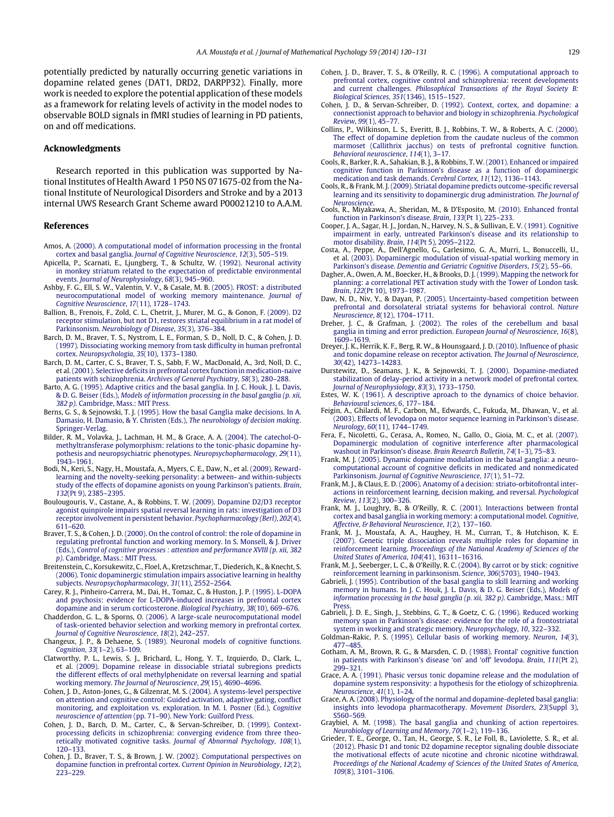potentially predicted by naturally occurring genetic variations in dopamine related genes (DAT1, DRD2, DARPP32). Finally, more work is needed to explore the potential application of these models as a framework for relating levels of activity in the model nodes to observable BOLD signals in fMRI studies of learning in PD patients, on and off medications.

### **Acknowledgments**

Research reported in this publication was supported by National Institutes of Health Award 1 P50 NS 071675-02 from the National Institute of Neurological Disorders and Stroke and by a 2013 internal UWS Research Grant Scheme award P00021210 to A.A.M.

### **References**

- <span id="page-9-7"></span>Amos, A. [\(2000\). A computational model of information processing in the frontal](http://refhub.elsevier.com/S0022-2496(13)00081-3/sbref1) cortex and basal ganglia. *Journal of Cognitive Neuroscience*, *12*(3), 505–519.
- <span id="page-9-18"></span>Apicella, P., Scarnati, E., Ljungberg, T., & Schultz, W. (1992). Neuronal activity in [monkey striatum related to the expectation of predictable environmental](http://refhub.elsevier.com/S0022-2496(13)00081-3/sbref2) events. *Journal of Neurophysiology*, *68*(3), 945–960.
- <span id="page-9-26"></span>Ashby, F. G., Ell, S. W., Valentin, V. V., & Casale, M. B. (2005). FROST: a distributed ne[urocomputational model of working memory maintenance.](http://refhub.elsevier.com/S0022-2496(13)00081-3/sbref3) *Journal of Cognitive Neuroscience*, *17*(11), 1728–1743.
- <span id="page-9-22"></span>Ballion, B., Frenois, F., Zold, C. L., Chetrit, J., Murer, M. G., & Gonon, F. (2009). D2 rec[eptor stimulation, but not D1, restores striatal equilibrium in a rat model of](http://refhub.elsevier.com/S0022-2496(13)00081-3/sbref4) Parkinsonism. *Neurobiology of Disease*, *35*(3), 376–384.
- <span id="page-9-35"></span>Barch, [D. M., Braver, T. S., Nystrom, L. E., Forman, S. D., Noll, D. C., & Cohen, J. D.](http://refhub.elsevier.com/S0022-2496(13)00081-3/sbref5) (1997). Dissociating working memory from task difficulty in human prefrontal cortex. *Neuropsychologia*, *35*(10), 1373–1380.
- <span id="page-9-36"></span>Barch, [D. M., Carter, C. S., Braver, T. S., Sabb, F. W., MacDonald, A., 3rd, Noll, D. C.,](http://refhub.elsevier.com/S0022-2496(13)00081-3/sbref6) et al. (2001). Selective deficits in prefrontal cortex function in medication-naive patients with schizophrenia. *Archives of General Psychiatry*, *58*(3), 280–288.
- <span id="page-9-30"></span>Barto, A. G. [\(1995\). Adaptive critics and the basal ganglia. In J. C. Houk, J. L. Davis,](http://refhub.elsevier.com/S0022-2496(13)00081-3/sbref7) & D. G. Beiser (Eds.), *Models of information processing in the basal ganglia (p. xii, 382 p)*. Cambridge, Mass.: MIT Press.
- <span id="page-9-31"></span>Berns, G. S., & Sejnowski, T. J. [\(1995\). How the basal Ganglia make decisions. In A.](http://refhub.elsevier.com/S0022-2496(13)00081-3/sbref8) Damasio, H. Damasio, & Y. Christen (Eds.), *The neurobiology of decision making*. Springer-Verlag.
- <span id="page-9-43"></span>Bilder, R. M., Volavka, J., Lachman, H. M., & Grace, A. A. (2004). The catechol-Ome[thyltransferase polymorphism: relations to the tonic-phasic dopamine hy](http://refhub.elsevier.com/S0022-2496(13)00081-3/sbref9)pothesis and neuropsychiatric phenotypes. *Neuropsychopharmacology*, *29*(11), 1943–1961.
- <span id="page-9-47"></span>Bodi, N., Keri, S., Nagy, H., Moustafa, A., Myers, C. E., Daw, N., et al. (2009). Rewardlea[rning and the novelty-seeking personality: a between- and within-subjects](http://refhub.elsevier.com/S0022-2496(13)00081-3/sbref10) study of the effects of dopamine agonists on young Parkinson's patients. *Brain*, *132*(Pt 9), 2385–2395.
- <span id="page-9-10"></span>Boulougouris, V., Castane, A., & Robbins, T. W. (2009). Dopamine D2/D3 receptor ag[onist quinpirole impairs spatial reversal learning in rats: investigation of D3](http://refhub.elsevier.com/S0022-2496(13)00081-3/sbref11) receptor involvement in persistent behavior. *Psychopharmacology (Berl)*, *202*(4), 611–620.
- <span id="page-9-33"></span>Braver, T. S., & Cohen, J. D. (2000). On the control of control: the role of dopamine in reg[ulating prefrontal function and working memory. In S. Monsell, & J. Driver](http://refhub.elsevier.com/S0022-2496(13)00081-3/sbref12) (Eds.), *Control of cognitive processes : attention and performance XVIII (p. xii, 382 p)*. Cambridge, Mass.: MIT Press.
- <span id="page-9-0"></span>Breiten[stein, C., Korsukewitz, C., Floel, A., Kretzschmar, T., Diederich, K., & Knecht, S.](http://refhub.elsevier.com/S0022-2496(13)00081-3/sbref13) (2006). Tonic dopaminergic stimulation impairs associative learning in healthy subjects. *Neuropsychopharmacology*, *31*(11), 2552–2564.
- <span id="page-9-28"></span>Carey, R. J., Pinheiro-Carrera, M., Dai, H., Tomaz, C., & Huston, J. P. (1995). L-DOPA an[d psychosis: evidence for L-DOPA-induced increases in prefrontal cortex](http://refhub.elsevier.com/S0022-2496(13)00081-3/sbref14) dopamine and in serum corticosterone. *Biological Psychiatry*, *38*(10), 669–676.
- <span id="page-9-48"></span>Chadderdon, G. L., & Sporns, O. (2006). A large-scale neurocomputational model of t[ask-oriented behavior selection and working memory in prefrontal cortex.](http://refhub.elsevier.com/S0022-2496(13)00081-3/sbref15) *Journal of Cognitive Neuroscience*, *18*(2), 242–257.
- <span id="page-9-46"></span>Changeux, J. P., & Dehaene, S. [\(1989\). Neuronal models of cognitive functions.](http://refhub.elsevier.com/S0022-2496(13)00081-3/sbref16) *Cognition*, *33*(1–2), 63–109.
- <span id="page-9-16"></span>Clatwo[rthy, P. L., Lewis, S. J., Brichard, L., Hong, Y. T., Izquierdo, D., Clark, L.,](http://refhub.elsevier.com/S0022-2496(13)00081-3/sbref17) et al. (2009). Dopamine release in dissociable striatal subregions predicts the different effects of oral methylphenidate on reversal learning and spatial working memory. *The Journal of Neuroscience*, *29*(15), 4690–4696.
- <span id="page-9-29"></span>Cohen, J. D., Aston-Jones, G., & Gilzenrat, M. S. (2004). A systems-level perspective on [attention and cognitive control: Guided activation, adaptive gating, conflict](http://refhub.elsevier.com/S0022-2496(13)00081-3/sbref18) monitoring, and exploitation vs. exploration. In M. I. Posner (Ed.), *Cognitive neuroscience of attention* (pp. 71–90). New York: Guilford Press.
- <span id="page-9-37"></span>Cohen, J. D., Barch, D. M., Carter, C., & Servan-Schreiber, D. (1999). Contextpro[cessing deficits in schizophrenia: converging evidence from three theo](http://refhub.elsevier.com/S0022-2496(13)00081-3/sbref19)retically motivated cognitive tasks. *Journal of Abnormal Psychology*, *108*(1), 120–133.
- <span id="page-9-3"></span>Cohen, J. D., Braver, T. S., & Brown, J. W. [\(2002\). Computational perspectives on](http://refhub.elsevier.com/S0022-2496(13)00081-3/sbref20) dopamine function in prefrontal cortex. *Current Opinion in Neurobiology*, *12*(2), 223–229.
- <span id="page-9-42"></span>Cohen, J. D., Braver, T. S., & O'Reilly, R. C. (1996). A computational approach to pre[frontal cortex, cognitive control and schizophrenia: recent developments](http://refhub.elsevier.com/S0022-2496(13)00081-3/sbref21) and current challenges. *Philosophical Transactions of the Royal Society B: Biological Sciences*, *351*(1346), 1515–1527.
- <span id="page-9-25"></span>Cohen, J. D., & Servan-Schreiber, D. (1992). Context, cortex, and dopamine: a co[nnectionist approach to behavior and biology in schizophrenia.](http://refhub.elsevier.com/S0022-2496(13)00081-3/sbref22) *Psychological Review*, *99*(1), 45–77.
- <span id="page-9-19"></span>Collins, P., Wilkinson, L. S., Everitt, B. J., Robbins, T. W., & Roberts, A. C. (2000). Th[e effect of dopamine depletion from the caudate nucleus of the common](http://refhub.elsevier.com/S0022-2496(13)00081-3/sbref23) marmoset (Callithrix jacchus) on tests of prefrontal cognitive function. *Behavioral neuroscience*, *114*(1), 3–17.
- <span id="page-9-5"></span>Cools, R., Barker, R. A., Sahakian, B. J., & Robbins, T. W. (2001). Enhanced or impaired cog[nitive function in Parkinson's disease as a function of dopaminergic](http://refhub.elsevier.com/S0022-2496(13)00081-3/sbref24) medication and task demands. *Cerebral Cortex*, *11*(12), 1136–1143.
- <span id="page-9-17"></span>Cools, R., & Frank, M. J. (2009). Striatal dopamine predicts outcome-specific reversal lea[rning and its sensitivity to dopaminergic drug administration.](http://refhub.elsevier.com/S0022-2496(13)00081-3/sbref25) *The Journal of Neuroscience*.
- <span id="page-9-40"></span>Cools, [R., Miyakawa, A., Sheridan, M., & D'Esposito, M.](http://refhub.elsevier.com/S0022-2496(13)00081-3/sbref26) (2010). Enhanced frontal function in Parkinson's disease. *Brain*, *133*(Pt 1), 225–233.
- <span id="page-9-8"></span>Cooper, J. A., Sagar, H. J., Jordan, N., Harvey, N. S., & Sullivan, E. V. (1991). Cognitive im[pairment in early, untreated Parkinson's disease and its relationship to](http://refhub.elsevier.com/S0022-2496(13)00081-3/sbref27) motor disability. *Brain*, *114*(Pt 5), 2095–2122.
- <span id="page-9-2"></span>Costa, [A., Peppe, A., Dell'Agnello, G., Carlesimo, G. A., Murri, L., Bonuccelli, U.,](http://refhub.elsevier.com/S0022-2496(13)00081-3/sbref28) et al. (2003). Dopaminergic modulation of visual-spatial working memory in Parkinson's disease. *Dementia and Geriatric Cognitive Disorders*, *15*(2), 55–66.
- <span id="page-9-6"></span>Dagher, A., Owen, A. M., Boecker, H., & Brooks, D. J. (1999). Mapping the network for pla[nning: a correlational PET activation study with the Tower of London task.](http://refhub.elsevier.com/S0022-2496(13)00081-3/sbref29) *Brain*, *122*(Pt 10), 1973–1987.
- <span id="page-9-38"></span>Daw, N. D., Niv, Y., & Dayan, P. (2005). Uncertainty-based competition between pre[frontal and dorsolateral striatal systems for behavioral control.](http://refhub.elsevier.com/S0022-2496(13)00081-3/sbref30) *Nature Neuroscience*, *8*(12), 1704–1711.
- <span id="page-9-39"></span>Dreher, J. C., & Grafman, J. [\(2002\). The roles of the cerebellum and basal](http://refhub.elsevier.com/S0022-2496(13)00081-3/sbref31) ganglia in timing and error prediction. *European Journal of Neuroscience*, *16*(8),
- <span id="page-9-23"></span>1609–1619. Dreyer, [J. K., Herrik, K. F., Berg, R. W., & Hounsgaard, J. D.](http://refhub.elsevier.com/S0022-2496(13)00081-3/sbref32) (2010). Influence of phasic and tonic dopamine release on receptor activation. *The Journal of Neuroscience*, *30*(42), 14273–14283.
- <span id="page-9-4"></span>Durstewitz, D., Seamans, J. K., & Sejnowski, T. J. (2000). Dopamine-mediated sta[bilization of delay-period activity in a network model of prefrontal cortex.](http://refhub.elsevier.com/S0022-2496(13)00081-3/sbref33) *Journal of Neurophysiology*, *83*(3), 1733–1750.
- <span id="page-9-14"></span>Estes, W. K. [\(1961\). A descriptive aproach to the dynamics of choice behavior.](http://refhub.elsevier.com/S0022-2496(13)00081-3/sbref34) *Behavioural sciences*, *6*, 177–184.
- <span id="page-9-11"></span>Feigin, [A., Ghilardi, M. F., Carbon, M., Edwards, C., Fukuda, M., Dhawan, V., et al.](http://refhub.elsevier.com/S0022-2496(13)00081-3/sbref35) (2003). Effects of levodopa on motor sequence learning in Parkinson's disease. *Neurology*, *60*(11), 1744–1749.
- <span id="page-9-41"></span>Fera, F., Nicoletti, G., Cerasa, A., Romeo, N., Gallo, O., Gioia, M. C., et al. (2007). Do[paminergic modulation of cognitive interference after pharmacological](http://refhub.elsevier.com/S0022-2496(13)00081-3/sbref36) washout in Parkinson's disease. *Brain Research Bulletin*, *74*(1–3), 75–83.
- <span id="page-9-27"></span>Frank, M. J. (2005). Dynamic dopamine modulation in the basal ganglia: a neuroco[mputational account of cognitive deficits in medicated and nonmedicated](http://refhub.elsevier.com/S0022-2496(13)00081-3/sbref37) Parkinsonism. *Journal of Cognitive Neuroscience*, *17*(1), 51–72.
- <span id="page-9-45"></span>Frank, M. J., & Claus, E. D. (2006). Anatomy of a decision: striato-orbitofrontal interact[ions in reinforcement learning, decision making, and reversal.](http://refhub.elsevier.com/S0022-2496(13)00081-3/sbref38) *Psychological Review*, *113*(2), 300–326.
- <span id="page-9-32"></span>Frank, M. J., Loughry, B., & O'Reilly, R. C. (2001). Interactions between frontal cor[tex and basal ganglia in working memory: a computational model.](http://refhub.elsevier.com/S0022-2496(13)00081-3/sbref39) *Cognitive, Affective, & Behavioral Neuroscience*, *1*(2), 137–160.
- <span id="page-9-34"></span>Frank, [M. J., Moustafa, A. A., Haughey, H. M., Curran, T., & Hutchison, K. E.](http://refhub.elsevier.com/S0022-2496(13)00081-3/sbref40) (2007). Genetic triple dissociation reveals multiple roles for dopamine in reinforcement learning. *Proceedings of the National Academy of Sciences of the United States of America*, *104*(41), 16311–16316.
- <span id="page-9-12"></span>Frank, M. J., Seeberger, L. C., & O'Reilly, R. C. [\(2004\). By carrot or by stick: cognitive](http://refhub.elsevier.com/S0022-2496(13)00081-3/sbref41) reinforcement learning in parkinsonism. *Science*, *306*(5703), 1940–1943.
- <span id="page-9-20"></span>Gabrieli, J. [\(1995\). Contribution of the basal ganglia to skill learning and working](http://refhub.elsevier.com/S0022-2496(13)00081-3/sbref42) memory in humans. In J. C. Houk, J. L. Davis, & D. G. Beiser (Eds.), *Models of information processing in the basal ganglia (p. xii, 382 p)*. Cambridge, Mass.: MIT Pre<sub>s</sub>
- <span id="page-9-9"></span>Gabrieli, J. D. E., Singh, J., Stebbins, G. T., & Goetz, C. G. (1996). Reduced working me[mory span in Parkinson's disease: evidence for the role of a frontostriatal](http://refhub.elsevier.com/S0022-2496(13)00081-3/sbref43) system in working and strategic memory. *Neuropsychology*, *10*, 322–332.
- <span id="page-9-21"></span>Goldman-Rakic, P. S. [\(1995\). Cellular basis of working memory.](http://refhub.elsevier.com/S0022-2496(13)00081-3/sbref44) *Neuron*, *14*(3),
- <span id="page-9-1"></span>477–485. Gotham, A. M., Brown, R. G., & Marsden, C. D. (1988). Frontal' cognitive function in [patients with Parkinson's disease 'on' and 'off' levodopa.](http://refhub.elsevier.com/S0022-2496(13)00081-3/sbref45) *Brain*, *111*(Pt 2),
- <span id="page-9-13"></span>299–321. Grace, A. A. (1991). Phasic versus tonic dopamine release and the modulation of do[pamine system responsivity: a hypothesis for the etiology of schizophrenia.](http://refhub.elsevier.com/S0022-2496(13)00081-3/sbref46) *Neuroscience*, *41*(1), 1–24.
- <span id="page-9-24"></span>Grace, A. A. [\(2008\). Physiology of the normal and dopamine-depleted basal ganglia:](http://refhub.elsevier.com/S0022-2496(13)00081-3/sbref47) insights into levodopa pharmacotherapy. *Movement Disorders*, *23*(Suppl 3), S560–569.
- <span id="page-9-15"></span>Graybiel, A. M. [\(1998\). The basal ganglia and chunking of action repertoires.](http://refhub.elsevier.com/S0022-2496(13)00081-3/sbref48) *Neurobiology of Learning and Memory*, *70*(1–2), 119–136.
- <span id="page-9-44"></span>Griede[r, T. E., George, O., Tan, H., George, S. R., Le Foll, B., Laviolette, S. R., et al.](http://refhub.elsevier.com/S0022-2496(13)00081-3/sbref49) (2012). Phasic D1 and tonic D2 dopamine receptor signaling double dissociate the motivational effects of acute nicotine and chronic nicotine withdrawal. *Proceedings of the National Academy of Sciences of the United States of America*, *109*(8), 3101–3106.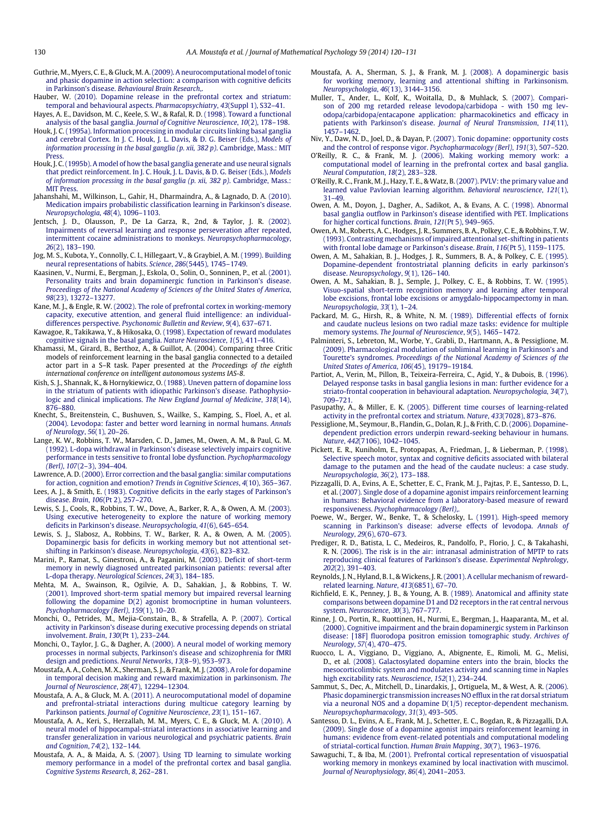<span id="page-10-30"></span>Guthri[e, M., Myers, C. E., & Gluck, M. A.\(2009\). A neurocomputational model of tonic](http://refhub.elsevier.com/S0022-2496(13)00081-3/sbref50) and phasic dopamine in action selection: a comparison with cognitive deficits in Parkinson's disease. *Behavioural Brain Research*,.

<span id="page-10-27"></span>Hauber, W. [\(2010\). Dopamine release in the prefrontal cortex and striatum:](http://refhub.elsevier.com/S0022-2496(13)00081-3/sbref51) temporal and behavioural aspects. *Pharmacopsychiatry*, *43*(Suppl 1), S32–41. Hayes, [A. E., Davidson, M. C., Keele, S. W., & Rafal, R. D.](http://refhub.elsevier.com/S0022-2496(13)00081-3/sbref52) (1998). Toward a functional

<span id="page-10-6"></span>analysis of the basal ganglia. *Journal of Cognitive Neuroscience*, *10*(2), 178–198. Houk, J. C. [\(1995a\). Information processing in modular circuits linking basal ganglia](http://refhub.elsevier.com/S0022-2496(13)00081-3/sbref53)

- <span id="page-10-31"></span>and cerebral Cortex. In J. C. Houk, J. L. Davis, & D. G. Beiser (Eds.), *Models of information processing in the basal ganglia (p. xii, 382 p)*. Cambridge, Mass.: MIT Press.
- <span id="page-10-33"></span>Houk, J. [C.\(1995b\). A model of how the basal ganglia generate and use neural signals](http://refhub.elsevier.com/S0022-2496(13)00081-3/sbref54) that predict reinforcement. In J. C. Houk, J. L. Davis, & D. G. Beiser (Eds.), *Models of information processing in the basal ganglia (p. xii, 382 p)*. Cambridge, Mass.: **MIT Press**
- <span id="page-10-13"></span>Jahanshahi, M., Wilkinson, L., Gahir, H., Dharmaindra, A., & Lagnado, D. A. (2010). Me[dication impairs probabilistic classification learning in Parkinson's disease.](http://refhub.elsevier.com/S0022-2496(13)00081-3/sbref55) *Neuropsychologia*, *48*(4), 1096–1103.
- <span id="page-10-12"></span>Jentsch, J. D., Olausson, P., De La Garza, R., 2nd, & Taylor, J. R. (2002). Im[pairments of reversal learning and response perseveration after repeated,](http://refhub.elsevier.com/S0022-2496(13)00081-3/sbref56) intermittent cocaine administrations to monkeys. *Neuropsychopharmacology*, *26*(2), 183–190.
- <span id="page-10-21"></span>Jog, M. [S., Kubota, Y., Connolly, C. I., Hillegaart, V., & Graybiel, A. M.](http://refhub.elsevier.com/S0022-2496(13)00081-3/sbref57) (1999). Building neural representations of habits. *Science*, *286*(5445), 1745–1749.
- <span id="page-10-36"></span>Kaasinen, V., Nurmi, E., Bergman, J., Eskola, O., Solin, O., Sonninen, P., et al. (2001). Per[sonality traits and brain dopaminergic function in Parkinson's disease.](http://refhub.elsevier.com/S0022-2496(13)00081-3/sbref58) *Proceedings of the National Academy of Sciences of the United States of America*, *98*(23), 13272–13277.
- <span id="page-10-42"></span>Kane, M. J., & Engle, R. W. (2002). The role of prefrontal cortex in working-memory cap[acity, executive attention, and general fluid intelligence: an individual](http://refhub.elsevier.com/S0022-2496(13)00081-3/sbref59)differences perspective. *Psychonomic Bulletin and Review*, *9*(4), 637–671.
- <span id="page-10-23"></span>Kawagoe, R., Takikawa, Y., & Hikosaka, O. [\(1998\). Expectation of reward modulates](http://refhub.elsevier.com/S0022-2496(13)00081-3/sbref60) cognitive signals in the basal ganglia. *Nature Neuroscience*, *1*(5), 411–416.
- <span id="page-10-45"></span>Khamassi, M., Girard, B., Berthoz, A., & Guillot, A. (2004). Comparing three Critic models of reinforcement learning in the basal ganglia connected to a detailed actor part in a S–R task. Paper presented at the *Proceedings of the eighth international conference on intelligent autonomous systems IAS-8*.
- <span id="page-10-3"></span>Kish, S. J., Shannak, K., & Hornykiewicz, O. (1988). Uneven pattern of dopamine loss in t[he striatum of patients with idiopathic Parkinson's disease. Pathophysio](http://refhub.elsevier.com/S0022-2496(13)00081-3/sbref62)logic and clinical implications. *The New England Journal of Medicine*, *318*(14), 876–880.
- <span id="page-10-50"></span>Knecht, [S., Breitenstein, C., Bushuven, S., Wailke, S., Kamping, S., Floel, A., et al.](http://refhub.elsevier.com/S0022-2496(13)00081-3/sbref63) (2004). Levodopa: faster and better word learning in normal humans. *Annals of Neurology*, *56*(1), 20–26.
- <span id="page-10-0"></span>Lange, [K. W., Robbins, T. W., Marsden, C. D., James, M., Owen, A. M., & Paul, G. M.](http://refhub.elsevier.com/S0022-2496(13)00081-3/sbref64) (1992). L-dopa withdrawal in Parkinson's disease selectively impairs cognitive performance in tests sensitive to frontal lobe dysfunction. *Psychopharmacology (Berl)*, *107*(2–3), 394–404.
- <span id="page-10-24"></span>Lawren[ce, A. D.\(2000\). Error correction and the basal ganglia: similar computations](http://refhub.elsevier.com/S0022-2496(13)00081-3/sbref65) for action, cognition and emotion? *Trends in Cognitive Sciences*, *4*(10), 365–367.
- <span id="page-10-8"></span>Lees, A. J., & Smith, E. [\(1983\). Cognitive deficits in the early stages of Parkinson's](http://refhub.elsevier.com/S0022-2496(13)00081-3/sbref66) disease. *Brain*, *106*(Pt 2), 257–270.
- <span id="page-10-11"></span>Lewis, S. J., Cools, R., Robbins, T. W., Dove, A., Barker, R. A., & Owen, A. M. (2003). Usi[ng executive heterogeneity to explore the nature of working memory](http://refhub.elsevier.com/S0022-2496(13)00081-3/sbref67) deficits in Parkinson's disease. *Neuropsychologia*, *41*(6), 645–654.
- <span id="page-10-15"></span>Lewis, S. J., Slabosz, A., Robbins, T. W., Barker, R. A., & Owen, A. M. (2005). Do[paminergic basis for deficits in working memory but not attentional set](http://refhub.elsevier.com/S0022-2496(13)00081-3/sbref68)shifting in Parkinson's disease. *Neuropsychologia*, *43*(6), 823–832.
- <span id="page-10-39"></span>Marini, P., Ramat, S., Ginestroni, A., & Paganini, M. (2003). Deficit of short-term me[mory in newly diagnosed untreated parkinsonian patients: reversal after](http://refhub.elsevier.com/S0022-2496(13)00081-3/sbref69) L-dopa therapy. *Neurological Sciences*, *24*(3), 184–185.
- <span id="page-10-17"></span>Mehta, [M. A., Swainson, R., Ogilvie, A. D., Sahakian, J., & Robbins, T. W.](http://refhub.elsevier.com/S0022-2496(13)00081-3/sbref70) (2001). Improved short-term spatial memory but impaired reversal learning following the dopamine D(2) agonist bromocriptine in human volunteers. *Psychopharmacology (Berl)*, *159*(1), 10–20.
- <span id="page-10-34"></span>Monchi, O., Petrides, M., Mejia-Constain, B., & Strafella, A. P. (2007). Cortical acti[vity in Parkinson's disease during executive processing depends on striatal](http://refhub.elsevier.com/S0022-2496(13)00081-3/sbref71) involvement. *Brain*, *130*(Pt 1), 233–244.
- <span id="page-10-47"></span>Monchi, O., Taylor, J. G., & Dagher, A. (2000). A neural model of working memory pro[cesses in normal subjects, Parkinson's disease and schizophrenia for fMRI](http://refhub.elsevier.com/S0022-2496(13)00081-3/sbref72) design and predictions. *Neural Networks*, *13*(8–9), 953–973.
- <span id="page-10-48"></span>Mousta[fa, A. A., Cohen, M. X., Sherman, S. J., & Frank, M. J.\(2008\). A role for dopamine](http://refhub.elsevier.com/S0022-2496(13)00081-3/sbref73) in temporal decision making and reward maximization in parkinsonism. *The Journal of Neuroscience*, *28*(47), 12294–12304.
- <span id="page-10-18"></span>Moustafa, A. A., & Gluck, M. A. (2011). A neurocomputational model of dopamine an[d prefrontal-striatal interactions during multicue category learning by](http://refhub.elsevier.com/S0022-2496(13)00081-3/sbref74) Parkinson patients. *Journal of Cognitive Neuroscience*, *23*(1), 151–167.
- <span id="page-10-41"></span>Moustafa, A. A., Keri, S., Herzallah, M. M., Myers, C. E., & Gluck, M. A. (2010). A ne[ural model of hippocampal-striatal interactions in associative learning and](http://refhub.elsevier.com/S0022-2496(13)00081-3/sbref75) transfer generalization in various neurological and psychiatric patients. *Brain and Cognition*, *74*(2), 132–144.
- <span id="page-10-19"></span>Moustafa, A. A., & Maida, A. S. (2007). Using TD learning to simulate working me[mory performance in a model of the prefrontal cortex and basal ganglia.](http://refhub.elsevier.com/S0022-2496(13)00081-3/sbref76) *Cognitive Systems Research*, *8*, 262–281.
- <span id="page-10-1"></span>Moustafa, A. A., Sherman, S. J., & Frank, M. J. (2008). A dopaminergic basis for [working memory, learning and attentional shifting in Parkinsonism.](http://refhub.elsevier.com/S0022-2496(13)00081-3/sbref77) *Neuropsychologia*, *46*(13), 3144–3156.
- <span id="page-10-32"></span>Muller, T., Ander, L., Kolf, K., Woitalla, D., & Muhlack, S. (2007). Comparison of 200 mg retarded release levodopa/carbidopa - with 150 mg levod[opa/carbidopa/entacapone application: pharmacokinetics and efficacy in](http://refhub.elsevier.com/S0022-2496(13)00081-3/sbref78) patients with Parkinson's disease. *Journal of Neural Transmission*, *114*(11), 1457–1462.
- <span id="page-10-43"></span>Niv, Y., Daw, N. D., Joel, D., & Dayan, P. [\(2007\). Tonic dopamine: opportunity costs](http://refhub.elsevier.com/S0022-2496(13)00081-3/sbref79) and the control of response vigor. *Psychopharmacology (Berl)*, *191*(3), 507–520.
- <span id="page-10-26"></span>O'Reilly, R. C., & Frank, M. J. (2006). Making working memory work: a co[mputational model of learning in the prefrontal cortex and basal ganglia.](http://refhub.elsevier.com/S0022-2496(13)00081-3/sbref80) *Neural Computation*, *18*(2), 283–328.
- <span id="page-10-46"></span>O'Reilly, R. C., Frank, M. J., Hazy, T. E., & Watz, B. (2007). PVLV: the primary value and lea[rned value Pavlovian learning algorithm.](http://refhub.elsevier.com/S0022-2496(13)00081-3/sbref81) *Behavioral neuroscience*, *121*(1), 31–49.
- <span id="page-10-5"></span>Owen, A. M., Doyon, J., Dagher, A., Sadikot, A., & Evans, A. C. (1998). Abnormal bas[al ganglia outflow in Parkinson's disease identified with PET. Implications](http://refhub.elsevier.com/S0022-2496(13)00081-3/sbref82) for higher cortical functions. *Brain*, *121*(Pt 5), 949–965.
- <span id="page-10-9"></span>Owen, [A. M., Roberts, A. C., Hodges, J. R., Summers, B. A., Polkey, C. E., & Robbins, T.W.](http://refhub.elsevier.com/S0022-2496(13)00081-3/sbref83) (1993). Contrasting mechanisms of impaired attentional set-shifting in patients with frontal lobe damage or Parkinson's disease. *Brain*, *116*(Pt 5), 1159–1175.
- <span id="page-10-2"></span>Owen, A. M., Sahakian, B. J., Hodges, J. R., Summers, B. A., & Polkey, C. E. (1995). Do[pamine-dependent frontostriatal planning deficits in early parkinson's](http://refhub.elsevier.com/S0022-2496(13)00081-3/sbref84) disease. *Neuropsychology*, *9*(1), 126–140.
- <span id="page-10-16"></span>Owen, A. M., Sahakian, B. J., Semple, J., Polkey, C. E., & Robbins, T. W. (1995). Visuo-spatial short-term recognition memory and learning after temporal lob[e excisions, frontal lobe excisions or amygdalo-hippocampectomy in man.](http://refhub.elsevier.com/S0022-2496(13)00081-3/sbref85) *Neuropsychologia*, *33*(1), 1–24.
- <span id="page-10-20"></span>Packard, M. G., Hirsh, R., & White, N. M. (1989). Differential effects of fornix an[d caudate nucleus lesions on two radial maze tasks: evidence for multiple](http://refhub.elsevier.com/S0022-2496(13)00081-3/sbref86) memory systems. *The Journal of Neuroscience*, *9*(5), 1465–1472.
- <span id="page-10-49"></span>Palmin[teri, S., Lebreton, M., Worbe, Y., Grabli, D., Hartmann, A., & Pessiglione, M.](http://refhub.elsevier.com/S0022-2496(13)00081-3/sbref87) (2009). Pharmacological modulation of subliminal learning in Parkinson's and Tourette's syndromes. *Proceedings of the National Academy of Sciences of the United States of America*, *106*(45), 19179–19184.
- <span id="page-10-7"></span>Partiot, A., Verin, M., Pillon, B., Teixeira-Ferreira, C., Agid, Y., & Dubois, B. (1996). Del[ayed response tasks in basal ganglia lesions in man: further evidence for a](http://refhub.elsevier.com/S0022-2496(13)00081-3/sbref88) striato-frontal cooperation in behavioural adaptation. *Neuropsychologia*, *34*(7), 709–721.
- <span id="page-10-22"></span>Pasupathy, A., & Miller, E. K. [\(2005\). Different time courses of learning-related](http://refhub.elsevier.com/S0022-2496(13)00081-3/sbref89) activity in the prefrontal cortex and striatum. *Nature*, *433*(7028), 873–876.
- <span id="page-10-51"></span>Pessiglione, M., Seymour, B., Flandin, G., Dolan, R. J., & Frith, C. D. (2006). Dopaminede[pendent prediction errors underpin reward-seeking behaviour in humans.](http://refhub.elsevier.com/S0022-2496(13)00081-3/sbref90) *Nature*, *442*(7106), 1042–1045.
- <span id="page-10-10"></span>Pickett, E. R., Kuniholm, E., Protopapas, A., Friedman, J., & Lieberman, P. (1998). Sel[ective speech motor, syntax and cognitive deficits associated with bilateral](http://refhub.elsevier.com/S0022-2496(13)00081-3/sbref91) damage to the putamen and the head of the caudate nucleus: a case study. *Neuropsychologia*, *36*(2), 173–188.
- <span id="page-10-14"></span>Pizzaga[lli, D. A., Evins, A. E., Schetter, E. C., Frank, M. J., Pajtas, P. E., Santesso, D. L.,](http://refhub.elsevier.com/S0022-2496(13)00081-3/sbref92) et al. (2007). Single dose of a dopamine agonist impairs reinforcement learning in humans: Behavioral evidence from a laboratory-based measure of reward responsiveness. *Psychopharmacology (Berl)*,.
- <span id="page-10-40"></span>Poewe, W., Berger, W., Benke, T., & Schelosky, L. (1991). High-speed memory sca[nning in Parkinson's disease: adverse effects of levodopa.](http://refhub.elsevier.com/S0022-2496(13)00081-3/sbref93) *Annals of Neurology*, *29*(6), 670–673.
- <span id="page-10-35"></span>Predige[r, R. D., Batista, L. C., Medeiros, R., Pandolfo, P., Florio, J. C., & Takahashi,](http://refhub.elsevier.com/S0022-2496(13)00081-3/sbref94) R. N. (2006). The risk is in the air: intranasal administration of MPTP to rats reproducing clinical features of Parkinson's disease. *Experimental Nephrology*, *202*(2), 391–403.
- <span id="page-10-29"></span>Reynol[ds, J. N., Hyland, B. I., & Wickens, J. R.\(2001\). A cellular mechanism of reward](http://refhub.elsevier.com/S0022-2496(13)00081-3/sbref95)related learning. *Nature*, *413*(6851), 67–70.
- <span id="page-10-44"></span>Richfield, E. K., Penney, J. B., & Young, A. B. (1989). Anatomical and affinity state co[mparisons between dopamine D1 and D2 receptors in the rat central nervous](http://refhub.elsevier.com/S0022-2496(13)00081-3/sbref96) system. *Neuroscience*, *30*(3), 767–777.
- <span id="page-10-4"></span>Rinne, [J. O., Portin, R., Ruottinen, H., Nurmi, E., Bergman, J., Haaparanta, M., et al.](http://refhub.elsevier.com/S0022-2496(13)00081-3/sbref97) (2000). Cognitive impairment and the brain dopaminergic system in Parkinson disease: [18F] fluorodopa positron emission tomographic study. *Archives of Neurology*, *57*(4), 470–475.
- <span id="page-10-37"></span>Ruocco[, L. A., Viggiano, D., Viggiano, A., Abignente, E., Rimoli, M. G., Melisi,](http://refhub.elsevier.com/S0022-2496(13)00081-3/sbref98) D., et al. (2008). Galactosylated dopamine enters into the brain, blocks the mesocorticolimbic system and modulates activity and scanning time in Naples high excitability rats. *Neuroscience*, *152*(1), 234–244.
- <span id="page-10-28"></span>Sammut, S., Dec, A., Mitchell, D., Linardakis, J., Ortiguela, M., & West, A. R. (2006). Pha[sic dopaminergic transmission increases NO efflux in the rat dorsal striatum](http://refhub.elsevier.com/S0022-2496(13)00081-3/sbref99) via a neuronal NOS and a dopamine D(1/5) receptor-dependent mechanism. *Neuropsychopharmacology*, *31*(3), 493–505.
- <span id="page-10-38"></span>Santess[o, D. L., Evins, A. E., Frank, M. J., Schetter, E. C., Bogdan, R., & Pizzagalli, D.A.](http://refhub.elsevier.com/S0022-2496(13)00081-3/sbref100) (2009). Single dose of a dopamine agonist impairs reinforcement learning in humans: evidence from event-related potentials and computational modeling of striatal-cortical function. *Human Brain Mapping*, *30*(7), 1963–1976.
- <span id="page-10-25"></span>Sawaguchi, T., & Iba, M. (2001). Prefrontal cortical representation of visuospatial wo[rking memory in monkeys examined by local inactivation with muscimol.](http://refhub.elsevier.com/S0022-2496(13)00081-3/sbref101) *Journal of Neurophysiology*, *86*(4), 2041–2053.